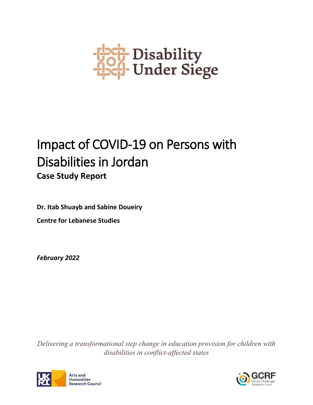

# Impact of COVID-19 on Persons with Disabilities in Jordan **Case Study Report**

**Dr. Itab Shuayb and Sabine Doueiry**

**Centre for Lebanese Studies**

*February 2022*

*Delivering a transformational step change in education provision for children with disabilities in conflict-affected states*



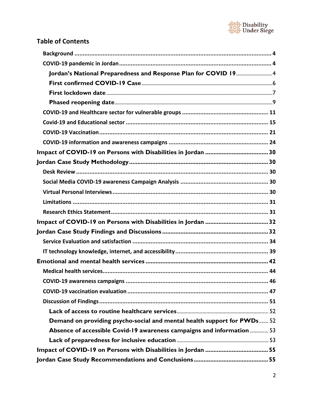

# **Table of Contents**

| Jordan's National Preparedness and Response Plan for COVID 194          |  |
|-------------------------------------------------------------------------|--|
|                                                                         |  |
|                                                                         |  |
|                                                                         |  |
|                                                                         |  |
|                                                                         |  |
|                                                                         |  |
|                                                                         |  |
|                                                                         |  |
|                                                                         |  |
|                                                                         |  |
|                                                                         |  |
|                                                                         |  |
|                                                                         |  |
|                                                                         |  |
|                                                                         |  |
|                                                                         |  |
|                                                                         |  |
|                                                                         |  |
|                                                                         |  |
|                                                                         |  |
|                                                                         |  |
|                                                                         |  |
|                                                                         |  |
|                                                                         |  |
| Demand on providing psycho-social and mental health support for PWDs 52 |  |
| Absence of accessible Covid-19 awareness campaigns and information 53   |  |
|                                                                         |  |
|                                                                         |  |
|                                                                         |  |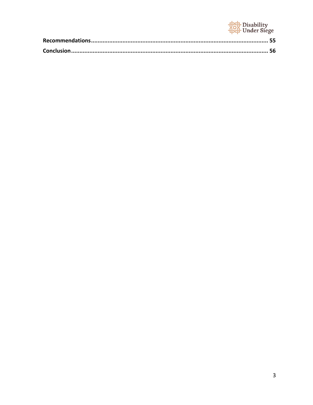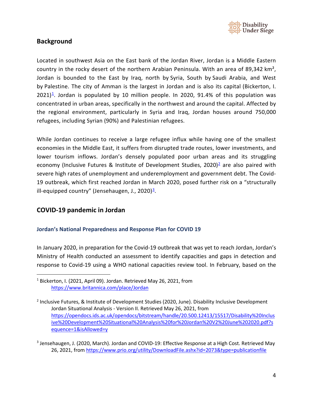

### <span id="page-3-0"></span>**Background**

Located in southwest Asia on the East bank of the Jordan River, Jordan is a Middle Eastern country in the rocky desert of the northern Arabian Peninsula. With an area of 89,342 km², Jordan is bounded to the East by Iraq, north by [Syria,](https://www.britannica.com/place/Syria) South by [Saudi Arabia,](https://www.britannica.com/place/Saudi-Arabia) and West by Palestine. [The city of Amman](https://www.britannica.com/place/Amman) is the largest in Jordan and is also its capital (Bickerton, I.  $2021$ <sup>1</sup>. Jordan is populated by 10 million people. In 2020, 91.4% of this population was concentrated in urban areas, specifically in the northwest and around the capital. Affected by the regional environment, particularly in Syria and Iraq, Jordan houses around 750,000 refugees, including Syrian (90%) and Palestinian refugees.

While Jordan continues to receive a large refugee influx while having one of the smallest economies in the Middle East, it suffers from disrupted trade routes, lower investments, and lower tourism inflows. Jordan's densely populated poor urban areas and its struggling economy (Inclusive Futures & Institute of Development Studies, 2020)<sup>2</sup> are also paired with severe high rates of unemployment and underemployment and government debt. The Covid-19 outbreak, which first reached Jordan in March 2020, posed further risk on a "structurally ill-equipped country" (Jensehaugen, J., 2020) $\frac{3}{2}$ .

### <span id="page-3-1"></span>**COVID-19 pandemic in Jordan**

#### <span id="page-3-2"></span>**Jordan's National Preparedness and Response Plan for COVID 19**

In January 2020, in preparation for the Covid-19 outbreak that was yet to reach Jordan, Jordan's Ministry of Health conducted an assessment to identify capacities and gaps in detection and response to Covid-19 using a WHO national capacities review tool. In February, based on the

<span id="page-3-3"></span><sup>&</sup>lt;sup>1</sup> Bickerton, I. (2021, April 09). Jordan. Retrieved May 26, 2021, from <https://www.britannica.com/place/Jordan>

<span id="page-3-4"></span><sup>&</sup>lt;sup>2</sup> Inclusive Futures, & Institute of Development Studies (2020, June). Disability Inclusive Development Jordan Situational Analysis - Version II. Retrieved May 26, 2021, from [https://opendocs.ids.ac.uk/opendocs/bitstream/handle/20.500.12413/15517/Disability%20Inclus](https://opendocs.ids.ac.uk/opendocs/bitstream/handle/20.500.12413/15517/Disability%20Inclusive%20Development%20Situational%20Analysis%20for%20Jordan%20V2%20June%202020.pdf?sequence=1&isAllowed=y) [ive%20Development%20Situational%20Analysis%20for%20Jordan%20V2%20June%202020.pdf?s](https://opendocs.ids.ac.uk/opendocs/bitstream/handle/20.500.12413/15517/Disability%20Inclusive%20Development%20Situational%20Analysis%20for%20Jordan%20V2%20June%202020.pdf?sequence=1&isAllowed=y) [equence=1&isAllowed=y](https://opendocs.ids.ac.uk/opendocs/bitstream/handle/20.500.12413/15517/Disability%20Inclusive%20Development%20Situational%20Analysis%20for%20Jordan%20V2%20June%202020.pdf?sequence=1&isAllowed=y)

<span id="page-3-5"></span><sup>&</sup>lt;sup>3</sup> Jensehaugen, J. (2020, March). Jordan and COVID-19: Effective Response at a High Cost. Retrieved May 26, 2021, fro[m https://www.prio.org/utility/DownloadFile.ashx?id=2073&type=publicationfile](https://www.prio.org/utility/DownloadFile.ashx?id=2073&type=publicationfile)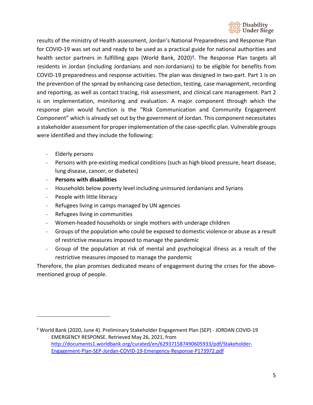

results of the ministry of Health assessment, Jordan's National Preparedness and Response Plan for COVID-19 was set out and ready to be used as a practical guide for national authorities and health sector partners in fulfilling gaps (World Bank, 2020)<sup>4</sup>. The Response Plan targets all residents in Jordan (including Jordanians and non-Jordanians) to be eligible for benefits from COVID-19 preparedness and response activities. The plan was designed in two-part. Part 1 is on the prevention of the spread by enhancing case detection, testing, case management, recording and reporting, as well as contact tracing, risk assessment, and clinical care management. Part 2 is on implementation, monitoring and evaluation. A major component through which the response plan would function is the "Risk Communication and Community Engagement Component" which is already set out by the government of Jordan. This component necessitates a stakeholder assessment for proper implementation of the case-specific plan. Vulnerable groups were identified and they include the following:

- Elderly persons
- Persons with pre-existing medical conditions (such as high blood pressure, heart disease, lung disease, cancer, or diabetes)
- **Persons with disabilities**
- Households below poverty level including uninsured Jordanians and Syrians
- People with little literacy
- Refugees living in camps managed by UN agencies
- Refugees living in communities
- Women-headed households or single mothers with underage children
- Groups of the population who could be exposed to domestic violence or abuse as a result of restrictive measures imposed to manage the pandemic
- Group of the population at risk of mental and psychological illness as a result of the restrictive measures imposed to manage the pandemic

Therefore, the plan promises dedicated means of engagement during the crises for the abovementioned group of people.

<span id="page-4-0"></span><sup>4</sup> World Bank (2020, June 4). Preliminary Stakeholder Engagement Plan (SEP) - JORDAN COVID-19 EMERGENCY RESPONSE. Retrieved May 26, 2021, from [http://documents1.worldbank.org/curated/en/629371587490605933/pdf/Stakeholder-](http://documents1.worldbank.org/curated/en/629371587490605933/pdf/Stakeholder-Engagement-Plan-SEP-Jordan-COVID-19-Emergency-Response-P173972.pdf)[Engagement-Plan-SEP-Jordan-COVID-19-Emergency-Response-P173972.pdf](http://documents1.worldbank.org/curated/en/629371587490605933/pdf/Stakeholder-Engagement-Plan-SEP-Jordan-COVID-19-Emergency-Response-P173972.pdf)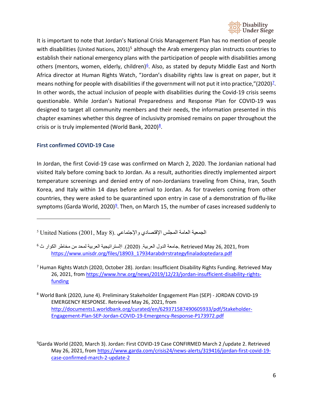

It is important to note that Jordan's National Crisis Management Plan has no mention of people with disabilities (United Nations, 2001)<sup>[5](#page-5-1)</sup> although the Arab emergency plan instructs countries to establish their national emergency plans with the participation of people with disabilities among others (mentors, women, elderly, children) $6$ . Also, as stated by deputy Middle East and North Africa director at Human Rights Watch, "Jordan's disability rights law is great on paper, but it means nothing for people with disabilities if the government will not put it into practice," $(2020)^2$ . In other words, the actual inclusion of people with disabilities during the Covid-19 crisis seems questionable. While Jordan's National Preparedness and Response Plan for COVID-19 was designed to target all community members and their needs, the information presented in this chapter examines whether this degree of inclusivity promised remains on paper throughout the crisis or is truly implemented (World Bank, 2020) $8$ .

#### <span id="page-5-0"></span>**First confirmed COVID-19 Case**

In Jordan, the first Covid-19 case was confirmed on March 2, 2020. The Jordanian national had visited Italy before coming back to Jordan. As a result, authorities directly implemented airport temperature screenings and denied entry of non-Jordanians traveling from China, Iran, South Korea, and Italy within 14 days before arrival to Jordan. As for travelers coming from other countries, they were asked to be quarantined upon entry in case of a demonstration of flu-like symptoms (Garda World, 2020)<sup>9</sup>. Then, on March 15, the number of cases increased suddenly to

<span id="page-5-3"></span><sup>7</sup> Human Rights Watch (2020, October 28). Jordan: Insufficient Disability Rights Funding. Retrieved May 26, 2021, fro[m https://www.hrw.org/news/2019/12/23/jordan-insufficient-disability-rights](https://www.hrw.org/news/2019/12/23/jordan-insufficient-disability-rights-funding)**[funding](https://www.hrw.org/news/2019/12/23/jordan-insufficient-disability-rights-funding)** 

<span id="page-5-4"></span><sup>8</sup> World Bank (2020, June 4). Preliminary Stakeholder Engagement Plan (SEP) - JORDAN COVID-19 EMERGENCY RESPONSE. Retrieved May 26, 2021, from [http://documents1.worldbank.org/curated/en/629371587490605933/pdf/Stakeholder-](http://documents1.worldbank.org/curated/en/629371587490605933/pdf/Stakeholder-Engagement-Plan-SEP-Jordan-COVID-19-Emergency-Response-P173972.pdf)[Engagement-Plan-SEP-Jordan-COVID-19-Emergency-Response-P173972.pdf](http://documents1.worldbank.org/curated/en/629371587490605933/pdf/Stakeholder-Engagement-Plan-SEP-Jordan-COVID-19-Emergency-Response-P173972.pdf)

<span id="page-5-5"></span>9 Garda World (2020, March 3). Jordan: First COVID-19 Case CONFIRMED March 2 /update 2. Retrieved May 26, 2021, fro[m https://www.garda.com/crisis24/news-alerts/319416/jordan-first-covid-19](https://www.garda.com/crisis24/news-alerts/319416/jordan-first-covid-19-case-confirmed-march-2-update-2) [case-confirmed-march-2-update-2](https://www.garda.com/crisis24/news-alerts/319416/jordan-first-covid-19-case-confirmed-march-2-update-2)

<span id="page-5-1"></span>الجمعیة العامة المجلس الإقتصادي والإجتماعي .(8 May 2001, (Nations United <sup>5</sup>

<span id="page-5-2"></span>from 2021, 26, May Retrieved .جامعة الدول العربیة. (2020). اإلستراتیجیة العربیة لمحد من مخاطر الكوار ث <sup>6</sup> [https://www.unisdr.org/files/18903\\_17934arabdrrstrategyfinaladoptedara.pdf](https://www.unisdr.org/files/18903_17934arabdrrstrategyfinaladoptedara.pdf)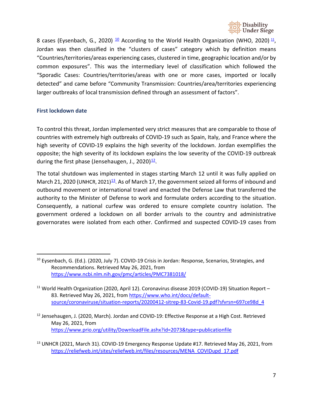

8 cases (Eysenbach, G., 2020)  $\frac{10}{2}$  According to the World Health Organization (WHO, 2020)  $\frac{11}{2}$ , Jordan was then classified in the "clusters of cases" category which by definition means "Countries/territories/areas experiencing cases, clustered in time, geographic location and/or by common exposures". This was the intermediary level of classification which followed the "Sporadic Cases: Countries/territories/areas with one or more cases, imported or locally detected" and came before "Community Transmission: Countries/area/territories experiencing larger outbreaks of local transmission defined through an assessment of factors".

#### <span id="page-6-0"></span>**First lockdown date**

To control this threat, Jordan implemented very strict measures that are comparable to those of countries with extremely high outbreaks of COVID-19 such as Spain, Italy, and France where the high severity of COVID-19 explains the high severity of the lockdown. Jordan exemplifies the opposite; the high severity of its lockdown explains the low severity of the COVID-19 outbreak during the first phase (Jensehaugen, J., 2020) $\frac{12}{1}$ .

The total shutdown was implemented in stages starting March 12 until it was fully applied on March 21, 2020 (UNHCR, 2021)<sup>13</sup>. As of March 17, the government seized all forms of inbound and outbound movement or international travel and enacted the Defense Law that transferred the authority to the Minister of Defense to work and formulate orders according to the situation. Consequently, a national curfew was ordered to ensure complete country isolation. The government ordered a lockdown on all border arrivals to the country and administrative governorates were isolated from each other. Confirmed and suspected COVID-19 cases from

<span id="page-6-1"></span><sup>&</sup>lt;sup>10</sup> Eysenbach, G. (Ed.). (2020, July 7). COVID-19 Crisis in Jordan: Response, Scenarios, Strategies, and Recommendations. Retrieved May 26, 2021, from <https://www.ncbi.nlm.nih.gov/pmc/articles/PMC7381018/>

<span id="page-6-2"></span> $11$  World Health Organization (2020, April 12). Coronavirus disease 2019 (COVID-19) Situation Report – 83. Retrieved May 26, 2021, from [https://www.who.int/docs/default](https://www.who.int/docs/default-source/coronaviruse/situation-reports/20200412-sitrep-83-Covid-19.pdf?sfvrsn=697ce98d_4)[source/coronaviruse/situation-reports/20200412-sitrep-83-Covid-19.pdf?sfvrsn=697ce98d\\_4](https://www.who.int/docs/default-source/coronaviruse/situation-reports/20200412-sitrep-83-Covid-19.pdf?sfvrsn=697ce98d_4)

<span id="page-6-3"></span><sup>&</sup>lt;sup>12</sup> Jensehaugen, J. (2020, March). Jordan and COVID-19: Effective Response at a High Cost. Retrieved May 26, 2021, from <https://www.prio.org/utility/DownloadFile.ashx?id=2073&type=publicationfile>

<span id="page-6-4"></span><sup>&</sup>lt;sup>13</sup> UNHCR (2021, March 31). COVID-19 Emergency Response Update #17. Retrieved May 26, 2021, from [https://reliefweb.int/sites/reliefweb.int/files/resources/MENA\\_COVIDupd\\_17.pdf](https://reliefweb.int/sites/reliefweb.int/files/resources/MENA_COVIDupd_17.pdf)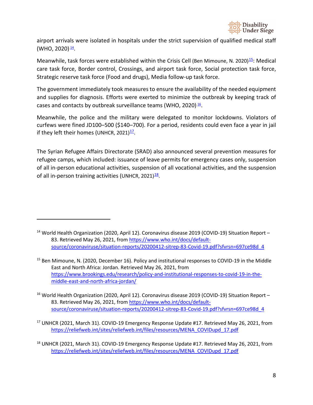

airport arrivals were isolated in hospitals under the strict supervision of qualified medical staff (WHO, 2020) $\frac{14}{1}$ .

Meanwhile, task forces were established within the Crisis Cell (Ben Mimoune, N. 2020[\)](https://www.brookings.edu/research/policy-and-institutional-responses-to-covid-19-in-the-middle-east-and-north-africa-jordan/)<sup>15</sup>: Medical care task force, Border control, Crossings, and airport task force, Social protection task force, Strategic reserve task force (Food and drugs), Media follow-up task force.

The government immediately took measures to ensure the availability of the needed equipment and supplies for diagnosis. Efforts were exerted to minimize the outbreak by keeping track of cases and contacts by outbreak surveillance teams (WHO, 2020) $\frac{16}{5}$ .

Meanwhile, the police and the military were delegated to monitor lockdowns. Violators of curfews were fined JD100–500 (\$140–700). For a period, residents could even face a year in jail if they left their homes (UNHCR, 2021) $\frac{17}{1}$ .

The Syrian Refugee Affairs Directorate (SRAD) also announced several prevention measures for refugee camps, which included: issuance of leave permits for emergency cases only, suspension of all in-person educational activities, suspension of all vocational activities, and the suspension of all in-person training activities (UNHCR, 2021) $\frac{18}{1}$ .

<span id="page-7-2"></span><sup>16</sup> World Health Organization (2020, April 12). Coronavirus disease 2019 (COVID-19) Situation Report -83. Retrieved May 26, 2021, from [https://www.who.int/docs/default](https://www.who.int/docs/default-source/coronaviruse/situation-reports/20200412-sitrep-83-Covid-19.pdf?sfvrsn=697ce98d_4)[source/coronaviruse/situation-reports/20200412-sitrep-83-Covid-19.pdf?sfvrsn=697ce98d\\_4](https://www.who.int/docs/default-source/coronaviruse/situation-reports/20200412-sitrep-83-Covid-19.pdf?sfvrsn=697ce98d_4)

<span id="page-7-3"></span><sup>17</sup> UNHCR (2021, March 31). COVID-19 Emergency Response Update #17. Retrieved May 26, 2021, from [https://reliefweb.int/sites/reliefweb.int/files/resources/MENA\\_COVIDupd\\_17.pdf](https://reliefweb.int/sites/reliefweb.int/files/resources/MENA_COVIDupd_17.pdf)

<span id="page-7-4"></span><sup>18</sup> UNHCR (2021, March 31). COVID-19 Emergency Response Update #17. Retrieved May 26, 2021, from [https://reliefweb.int/sites/reliefweb.int/files/resources/MENA\\_COVIDupd\\_17.pdf](https://reliefweb.int/sites/reliefweb.int/files/resources/MENA_COVIDupd_17.pdf)

<span id="page-7-0"></span><sup>&</sup>lt;sup>14</sup> World Health Organization (2020, April 12). Coronavirus disease 2019 (COVID-19) Situation Report -83. Retrieved May 26, 2021, from [https://www.who.int/docs/default](https://www.who.int/docs/default-source/coronaviruse/situation-reports/20200412-sitrep-83-Covid-19.pdf?sfvrsn=697ce98d_4)[source/coronaviruse/situation-reports/20200412-sitrep-83-Covid-19.pdf?sfvrsn=697ce98d\\_4](https://www.who.int/docs/default-source/coronaviruse/situation-reports/20200412-sitrep-83-Covid-19.pdf?sfvrsn=697ce98d_4)

<span id="page-7-1"></span><sup>&</sup>lt;sup>15</sup> Ben Mimoune, N. (2020, December 16). Policy and institutional responses to COVID-19 in the Middle East and North Africa: Jordan. Retrieved May 26, 2021, from [https://www.brookings.edu/research/policy-and-institutional-responses-to-covid-19-in-the](https://www.brookings.edu/research/policy-and-institutional-responses-to-covid-19-in-the-middle-east-and-north-africa-jordan/)[middle-east-and-north-africa-jordan/](https://www.brookings.edu/research/policy-and-institutional-responses-to-covid-19-in-the-middle-east-and-north-africa-jordan/)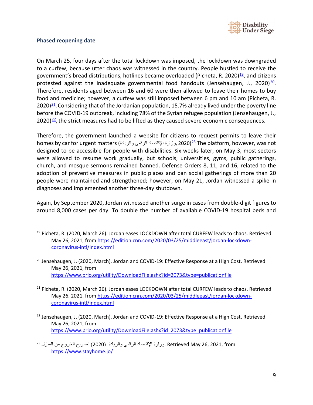

#### <span id="page-8-0"></span>**Phased reopening date**

On March 25, four days after the total lockdown was imposed, the lockdown was downgraded to a curfew, because utter chaos was witnessed in the country. People hustled to receive the government's bread distributions, hotlines became overloaded (Picheta, R. 2020) $\frac{19}{12}$ , and citizens protested against the inadequate governmental food handouts (Jensehaugen, J., 2020) $20$ . Therefore, residents aged between 16 and 60 were then allowed to leave their homes to buy food and medicine; however, a curfew was still imposed between 6 pm and 10 am (Picheta, R.  $2020)$ <sup>21</sup>. Considering that of the Jordanian population, 15.7% already lived under the poverty line before the COVID-19 outbreak, including 78% of the Syrian refugee population (Jensehaugen, J.,  $2020)$ <sup>22</sup>, the strict measures had to be lifted as they caused severe economic consequences.

Therefore, the government launched a website for citizens to request permits to leave their homes by car for urgent matters [\(](https://www.stayhome.jo/)وزارة الإقتصاد الرقمي والريادة, 2020) $^{\underline{23}}$  $^{\underline{23}}$  $^{\underline{23}}$  The platform, however, was not designed to be accessible for people with disabilities. Six weeks later, on May 3, most sectors were allowed to resume work gradually, but schools, universities, gyms, public gatherings, church, and mosque sermons remained banned. Defense Orders 8, 11, and 16, related to the adoption of preventive measures in public places and ban social gatherings of more than 20 people were maintained and strengthened; however, on May 21, Jordan witnessed a spike in diagnoses and implemented another three-day shutdown.

Again, by September 2020, Jordan witnessed another surge in cases from double-digit figures to around 8,000 cases per day. To double the number of available COVID-19 hospital beds and

<span id="page-8-4"></span><sup>22</sup> Jensehaugen, J. (2020, March). Jordan and COVID-19: Effective Response at a High Cost. Retrieved May 26, 2021, from <https://www.prio.org/utility/DownloadFile.ashx?id=2073&type=publicationfile>

<span id="page-8-1"></span><sup>&</sup>lt;sup>19</sup> Picheta, R. (2020, March 26). Jordan eases LOCKDOWN after total CURFEW leads to chaos. Retrieved May 26, 2021, fro[m https://edition.cnn.com/2020/03/25/middleeast/jordan-lockdown](https://edition.cnn.com/2020/03/25/middleeast/jordan-lockdown-coronavirus-intl/index.html)[coronavirus-intl/index.html](https://edition.cnn.com/2020/03/25/middleeast/jordan-lockdown-coronavirus-intl/index.html)

<span id="page-8-2"></span><sup>&</sup>lt;sup>20</sup> Jensehaugen, J. (2020, March). Jordan and COVID-19: Effective Response at a High Cost. Retrieved May 26, 2021, from <https://www.prio.org/utility/DownloadFile.ashx?id=2073&type=publicationfile>

<span id="page-8-3"></span><sup>&</sup>lt;sup>21</sup> Picheta, R. (2020, March 26). Jordan eases LOCKDOWN after total CURFEW leads to chaos. Retrieved May 26, 2021, fro[m https://edition.cnn.com/2020/03/25/middleeast/jordan-lockdown](https://edition.cnn.com/2020/03/25/middleeast/jordan-lockdown-coronavirus-intl/index.html)[coronavirus-intl/index.html](https://edition.cnn.com/2020/03/25/middleeast/jordan-lockdown-coronavirus-intl/index.html)

<span id="page-8-5"></span>from 2021, 26, May Retrieved .وزارة الإقتصاد الرقمي والریادة. ( 2020) تصریح الخروج من المنزل <sup>23</sup> <https://www.stayhome.jo/>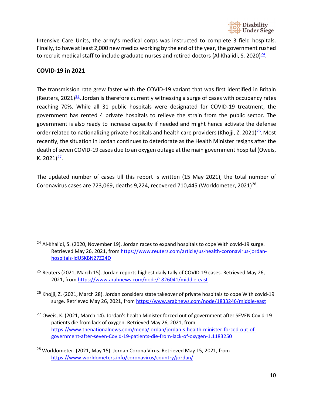

Intensive Care Units, the army's medical corps was instructed to complete 3 field hospitals. Finally, to have at least 2,000 new medics working by the end of the year, the government rushed to recruit medical staff to include graduate nurses and retired doctors (Al-Khalidi, S. 2020) $^{24}$ .

### **COVID-19 in 2021**

The transmission rate grew faster with the COVID-19 variant that was first identified in Britain (Reuters, 2021)<sup>25</sup>. Jordan is therefore currently witnessing a surge of cases with occupancy rates reaching 70%. While all 31 public hospitals were designated for COVID-19 treatment, the government has rented 4 private hospitals to relieve the strain from the public sector. The government is also ready to increase capacity if needed and might hence activate the defense order related to nationalizing private hospitals and health care providers (Khojji, Z. 2021)<sup>26</sup>. Most recently, the situation in Jordan continues to deteriorate as the Health Minister resigns after the death of seven COVID-19 cases due to an oxygen outage at the main government hospital (Oweis, K.  $2021)$ <sup>27</sup>.

The updated number of cases till this report is written (15 May 2021), the total number of Coronavirus cases are 723,069, deaths 9,224, recovered 710,445 (Worldometer, 2021) $^{28}$ .

- <span id="page-9-2"></span><sup>26</sup> Khojji, Z. (2021, March 28). Jordan considers state takeover of private hospitals to cope With covid-19 surge. Retrieved May 26, 2021, from<https://www.arabnews.com/node/1833246/middle-east>
- <span id="page-9-3"></span><sup>27</sup> Oweis, K. (2021, March 14). Jordan's health Minister forced out of government after SEVEN Covid-19 patients die from lack of oxygen. Retrieved May 26, 2021, from [https://www.thenationalnews.com/mena/jordan/jordan-s-health-minister-forced-out-of](https://www.thenationalnews.com/mena/jordan/jordan-s-health-minister-forced-out-of-government-after-seven-Covid-19-patients-die-from-lack-of-oxygen-1.1183250)[government-after-seven-Covid-19-patients-die-from-lack-of-oxygen-1.1183250](https://www.thenationalnews.com/mena/jordan/jordan-s-health-minister-forced-out-of-government-after-seven-Covid-19-patients-die-from-lack-of-oxygen-1.1183250)

<span id="page-9-0"></span><sup>&</sup>lt;sup>24</sup> Al-Khalidi, S. (2020, November 19). Jordan races to expand hospitals to cope With covid-19 surge. Retrieved May 26, 2021, from [https://www.reuters.com/article/us-health-coronavirus-jordan](https://www.reuters.com/article/us-health-coronavirus-jordan-hospitals-idUSKBN27Z24D)[hospitals-idUSKBN27Z24D](https://www.reuters.com/article/us-health-coronavirus-jordan-hospitals-idUSKBN27Z24D)

<span id="page-9-1"></span><sup>&</sup>lt;sup>25</sup> Reuters (2021, March 15). Jordan reports highest daily tally of COVID-19 cases. Retrieved May 26, 2021, from<https://www.arabnews.com/node/1826041/middle-east>

<span id="page-9-4"></span> $^{28}$  Worldometer. (2021, May 15). Jordan Corona Virus. Retrieved May 15, 2021, from <https://www.worldometers.info/coronavirus/country/jordan/>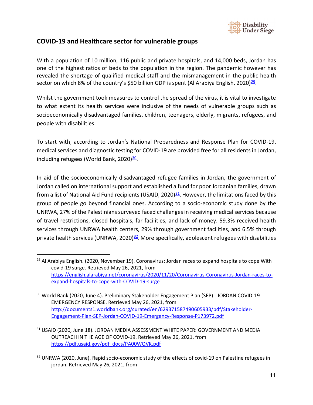

### <span id="page-10-0"></span>**COVID-19 and Healthcare sector for vulnerable groups**

With a population of 10 million, 116 public and private hospitals, and 14,000 beds, Jordan has one of the highest ratios of beds to the population in the region. The pandemic however has revealed the shortage of qualified medical staff and the mismanagement in the public health sector on which 8% of the country's \$50 billion GDP is spent (Al Arabiya English, 2020) $\frac{29}{2}$ .

Whilst the government took measures to control the spread of the virus, it is vital to investigate to what extent its health services were inclusive of the needs of vulnerable groups such as socioeconomically disadvantaged families, children, teenagers, elderly, migrants, refugees, and people with disabilities.

To start with, according to Jordan's National Preparedness and Response Plan for COVID-19, medical services and diagnostic testing for COVID-19 are provided free for all residents in Jordan, including refugees (World Bank, 2020)<sup>30</sup>.

In aid of the socioeconomically disadvantaged refugee families in Jordan, the government of Jordan called on international support and established a fund for poor Jordanian families, drawn from a list of National Aid Fund recipients (USAID, 2020) $\frac{31}{2}$ . However, the limitations faced by this group of people go beyond financial ones. According to a socio-economic study done by the UNRWA, 27% of the Palestinians surveyed faced challenges in receiving medical services because of travel restrictions, closed hospitals, far facilities, and lack of money. 59.3% received health services through UNRWA health centers, 29% through government facilities, and 6.5% through private health services (UNRWA, 2020) $32$ . More specifically, adolescent refugees with disabilities

<span id="page-10-1"></span> $29$  Al Arabiya English. (2020, November 19). Coronavirus: Jordan races to expand hospitals to cope With covid-19 surge. Retrieved May 26, 2021, from [https://english.alarabiya.net/coronavirus/2020/11/20/Coronavirus-Coronavirus-Jordan-races-to](https://english.alarabiya.net/coronavirus/2020/11/20/Coronavirus-Coronavirus-Jordan-races-to-expand-hospitals-to-cope-with-COVID-19-surge)[expand-hospitals-to-cope-with-COVID-19-surge](https://english.alarabiya.net/coronavirus/2020/11/20/Coronavirus-Coronavirus-Jordan-races-to-expand-hospitals-to-cope-with-COVID-19-surge)

<span id="page-10-2"></span><sup>&</sup>lt;sup>30</sup> World Bank (2020, June 4). Preliminary Stakeholder Engagement Plan (SEP) - JORDAN COVID-19 EMERGENCY RESPONSE. Retrieved May 26, 2021, from [http://documents1.worldbank.org/curated/en/629371587490605933/pdf/Stakeholder-](http://documents1.worldbank.org/curated/en/629371587490605933/pdf/Stakeholder-Engagement-Plan-SEP-Jordan-COVID-19-Emergency-Response-P173972.pdf)[Engagement-Plan-SEP-Jordan-COVID-19-Emergency-Response-P173972.pdf](http://documents1.worldbank.org/curated/en/629371587490605933/pdf/Stakeholder-Engagement-Plan-SEP-Jordan-COVID-19-Emergency-Response-P173972.pdf)

<span id="page-10-3"></span><sup>&</sup>lt;sup>31</sup> USAID (2020, June 18). JORDAN MEDIA ASSESSMENT WHITE PAPER: GOVERNMENT AND MEDIA OUTREACH IN THE AGE OF COVID-19. Retrieved May 26, 2021, from [https://pdf.usaid.gov/pdf\\_docs/PA00WQVK.pdf](https://pdf.usaid.gov/pdf_docs/PA00WQVK.pdf)

<span id="page-10-4"></span><sup>&</sup>lt;sup>32</sup> UNRWA (2020, June). Rapid socio-economic study of the effects of covid-19 on Palestine refugees in jordan. Retrieved May 26, 2021, from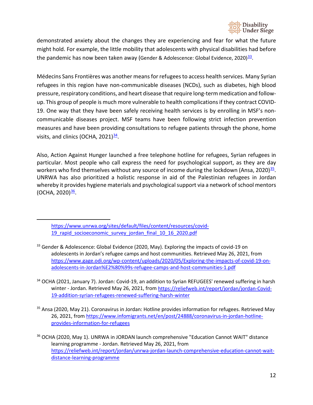

demonstrated anxiety about the changes they are experiencing and fear for what the future might hold. For example, the little mobility that adolescents with physical disabilities had before the pandemic has now been taken away (Gender & Adolescence: Global Evidence, 2020) $^{33}$ .

Médecins Sans Frontières was another means for refugees to access health services. Many Syrian refugees in this region have non-communicable diseases (NCDs), such as diabetes, high blood pressure, respiratory conditions, and heart disease that require long-term medication and followup. This group of people is much more vulnerable to health complications if they contract COVID-19. One way that they have been safely receiving health services is by enrolling in MSF's noncommunicable diseases project. MSF teams have been following strict infection prevention measures and have been providing consultations to refugee patients through the phone, home visits, and clinics (OCHA,  $2021$ ) $\frac{34}{1}$ .

Also, Action Against Hunger launched a free telephone hotline for refugees, Syrian refugees in particular. Most people who call express the need for psychological support, as they are day workers who find themselves without any source of income during the lockdown (Ansa, 2020)<sup>35</sup>. UNRWA has also prioritized a holistic response in aid of the Palestinian refugees in Jordan whereby it provides hygiene materials and psychological support via a network of school mentors (OCHA, 2020)<sup>36</sup>.

- <span id="page-11-1"></span><sup>34</sup> OCHA (2021, January 7). Jordan: Covid-19, an addition to Syrian REFUGEES' renewed suffering in harsh winter - Jordan. Retrieved May 26, 2021, from [https://reliefweb.int/report/jordan/jordan-Covid-](https://reliefweb.int/report/jordan/jordan-Covid-19-addition-syrian-refugees-renewed-suffering-harsh-winter)[19-addition-syrian-refugees-renewed-suffering-harsh-winter](https://reliefweb.int/report/jordan/jordan-Covid-19-addition-syrian-refugees-renewed-suffering-harsh-winter)
- <span id="page-11-2"></span><sup>35</sup> Ansa (2020, May 21). Coronavirus in Jordan: Hotline provides information for refugees. Retrieved May 26, 2021, fro[m https://www.infomigrants.net/en/post/24888/coronavirus-in-jordan-hotline](https://www.infomigrants.net/en/post/24888/coronavirus-in-jordan-hotline-provides-information-for-refugees)[provides-information-for-refugees](https://www.infomigrants.net/en/post/24888/coronavirus-in-jordan-hotline-provides-information-for-refugees)

[https://www.unrwa.org/sites/default/files/content/resources/covid-](https://www.unrwa.org/sites/default/files/content/resources/covid-19_rapid_socioeconomic_survey_jordan_final_10_16_2020.pdf)19 rapid socioeconomic survey jordan final 10 16 2020.pdf

<span id="page-11-0"></span><sup>&</sup>lt;sup>33</sup> Gender & Adolescence: Global Evidence (2020, May). Exploring the impacts of covid-19 on adolescents in Jordan's refugee camps and host communities. Retrieved May 26, 2021, from [https://www.gage.odi.org/wp-content/uploads/2020/05/Exploring-the-impacts-of-covid-19-on](https://www.gage.odi.org/wp-content/uploads/2020/05/Exploring-the-impacts-of-covid-19-on-adolescents-in-Jordan%E2%80%99s-refugee-camps-and-host-communities-1.pdf)[adolescents-in-Jordan%E2%80%99s-refugee-camps-and-host-communities-1.pdf](https://www.gage.odi.org/wp-content/uploads/2020/05/Exploring-the-impacts-of-covid-19-on-adolescents-in-Jordan%E2%80%99s-refugee-camps-and-host-communities-1.pdf)

<span id="page-11-3"></span><sup>&</sup>lt;sup>36</sup> OCHA (2020, May 1). UNRWA in JORDAN launch comprehensive "Education Cannot WAIT" distance learning programme - Jordan. Retrieved May 26, 2021, from [https://reliefweb.int/report/jordan/unrwa-jordan-launch-comprehensive-education-cannot-wait](https://reliefweb.int/report/jordan/unrwa-jordan-launch-comprehensive-education-cannot-wait-distance-learning-programme)[distance-learning-programme](https://reliefweb.int/report/jordan/unrwa-jordan-launch-comprehensive-education-cannot-wait-distance-learning-programme)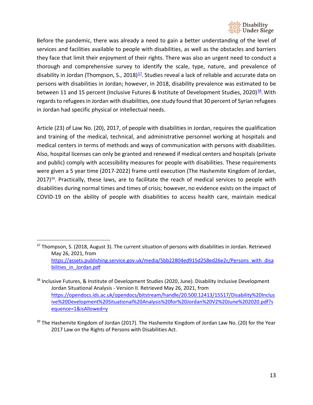

Before the pandemic, there was already a need to gain a better understanding of the level of services and facilities available to people with disabilities, as well as the obstacles and barriers they face that limit their enjoyment of their rights. There was also an urgent need to conduct a thorough and comprehensive survey to identify the scale, type, nature, and prevalence of disability in Jordan (Thompson, S., 2018) $\frac{37}{2}$ . Studies reveal a lack of reliable and accurate data on persons with disabilities in Jordan; however, in 2018, disability prevalence was estimated to be between 11 and 15 percent (Inclusive Futures & Institute of Development Studies, 2020)<sup>38</sup>. With regards to refugees in Jordan with disabilities, one study found that 30 percent of Syrian refugees in Jordan had specific physical or intellectual needs.

Article (23) of Law No. (20), 2017, of people with disabilities in Jordan, requires the qualification and training of the medical, technical, and administrative personnel working at hospitals and medical centers in terms of methods and ways of communication with persons with disabilities. Also, hospital licenses can only be granted and renewed if medical centers and hospitals (private and public) comply with accessibility measures for people with disabilities. These requirements were given a 5 year time (2017-2022) frame until execution (The Hashemite Kingdom of Jordan,  $2017)$ <sup>39</sup>. Practically, these laws, are to facilitate the reach of medical services to people with disabilities during normal times and times of crisis; however, no evidence exists on the impact of COVID-19 on the ability of people with disabilities to access health care, maintain medical

<span id="page-12-0"></span> $37$  Thompson, S. (2018, August 3). The current situation of persons with disabilities in Jordan. Retrieved May 26, 2021, from [https://assets.publishing.service.gov.uk/media/5bb22804ed915d258ed26e2c/Persons\\_with\\_disa](https://assets.publishing.service.gov.uk/media/5bb22804ed915d258ed26e2c/Persons_with_disabilities_in_Jordan.pdf) [bilities\\_in\\_Jordan.pdf](https://assets.publishing.service.gov.uk/media/5bb22804ed915d258ed26e2c/Persons_with_disabilities_in_Jordan.pdf)

<span id="page-12-1"></span><sup>38</sup> Inclusive Futures, & Institute of Development Studies (2020, June). Disability Inclusive Development Jordan Situational Analysis - Version II. Retrieved May 26, 2021, from [https://opendocs.ids.ac.uk/opendocs/bitstream/handle/20.500.12413/15517/Disability%20Inclus](https://opendocs.ids.ac.uk/opendocs/bitstream/handle/20.500.12413/15517/Disability%20Inclusive%20Development%20Situational%20Analysis%20for%20Jordan%20V2%20June%202020.pdf?sequence=1&isAllowed=y) [ive%20Development%20Situational%20Analysis%20for%20Jordan%20V2%20June%202020.pdf?s](https://opendocs.ids.ac.uk/opendocs/bitstream/handle/20.500.12413/15517/Disability%20Inclusive%20Development%20Situational%20Analysis%20for%20Jordan%20V2%20June%202020.pdf?sequence=1&isAllowed=y) [equence=1&isAllowed=y](https://opendocs.ids.ac.uk/opendocs/bitstream/handle/20.500.12413/15517/Disability%20Inclusive%20Development%20Situational%20Analysis%20for%20Jordan%20V2%20June%202020.pdf?sequence=1&isAllowed=y)

<span id="page-12-2"></span> $39$  The Hashemite Kingdom of Jordan (2017). The Hashemite Kingdom of Jordan Law No. (20) for the Year 2017 Law on the Rights of Persons with Disabilities Act.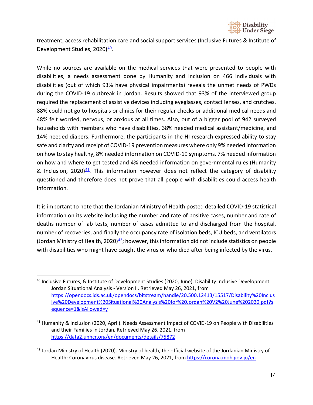

treatment, access rehabilitation care and social support services (Inclusive Futures & Institute of Development Studies, 2020)<sup>40</sup>.

While no sources are available on the medical services that were presented to people with disabilities, a needs assessment done by Humanity and Inclusion on 466 individuals with disabilities (out of which 93% have physical impairments) reveals the unmet needs of PWDs during the COVID-19 outbreak in Jordan. Results showed that 93% of the interviewed group required the replacement of assistive devices including eyeglasses, contact lenses, and crutches, 88% could not go to hospitals or clinics for their regular checks or additional medical needs and 48% felt worried, nervous, or anxious at all times. Also, out of a bigger pool of 942 surveyed households with members who have disabilities, 38% needed medical assistant/medicine, and 14% needed diapers. Furthermore, the participants in the HI research expressed ability to stay safe and clarity and receipt of COVID-19 prevention measures where only 9% needed information on how to stay healthy, 8% needed information on COVID-19 symptoms, 7% needed information on how and where to get tested and 4% needed information on governmental rules (Humanity & Inclusion, 2020) $41$ . This information however does not reflect the category of disability questioned and therefore does not prove that all people with disabilities could access health information.

It is important to note that the Jordanian Ministry of Health posted detailed COVID-19 statistical information on its website including the number and rate of positive cases, number and rate of deaths number of lab tests, number of cases admitted to and discharged from the hospital, number of recoveries, and finally the occupancy rate of isolation beds, ICU beds, and ventilators (Jordan Ministry of Health, 2020) $42$ ; however, this information did not include statistics on people with disabilities who might have caught the virus or who died after being infected by the virus.

<span id="page-13-0"></span><sup>40</sup> Inclusive Futures, & Institute of Development Studies (2020, June). Disability Inclusive Development Jordan Situational Analysis - Version II. Retrieved May 26, 2021, from [https://opendocs.ids.ac.uk/opendocs/bitstream/handle/20.500.12413/15517/Disability%20Inclus](https://opendocs.ids.ac.uk/opendocs/bitstream/handle/20.500.12413/15517/Disability%20Inclusive%20Development%20Situational%20Analysis%20for%20Jordan%20V2%20June%202020.pdf?sequence=1&isAllowed=y) [ive%20Development%20Situational%20Analysis%20for%20Jordan%20V2%20June%202020.pdf?s](https://opendocs.ids.ac.uk/opendocs/bitstream/handle/20.500.12413/15517/Disability%20Inclusive%20Development%20Situational%20Analysis%20for%20Jordan%20V2%20June%202020.pdf?sequence=1&isAllowed=y) [equence=1&isAllowed=y](https://opendocs.ids.ac.uk/opendocs/bitstream/handle/20.500.12413/15517/Disability%20Inclusive%20Development%20Situational%20Analysis%20for%20Jordan%20V2%20June%202020.pdf?sequence=1&isAllowed=y)

<span id="page-13-1"></span><sup>&</sup>lt;sup>41</sup> Humanity & Inclusion (2020, April). Needs Assessment Impact of COVID-19 on People with Disabilities and their Families in Jordan. Retrieved May 26, 2021, from <https://data2.unhcr.org/en/documents/details/75872>

<span id="page-13-2"></span> $42$  Jordan Ministry of Health (2020). Ministry of health, the official website of the Jordanian Ministry of Health: Coronavirus disease. Retrieved May 26, 2021, from<https://corona.moh.gov.jo/en>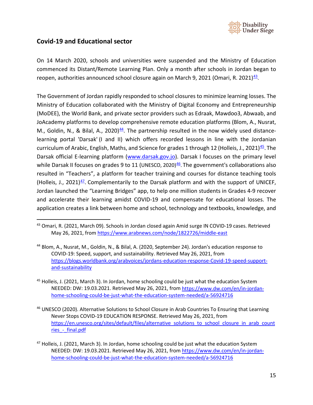

### <span id="page-14-0"></span>**Covid-19 and Educational sector**

On 14 March 2020, schools and universities were suspended and the Ministry of Education commenced its Distant/Remote Learning Plan. Only a month after schools in Jordan began to reopen, authorities announced school closure again on March 9, 2021 (Omari, R. 2021) $\frac{43}{2}$ .

The Government of Jordan rapidly responded to school closures to minimize learning losses. The Ministry of Education collaborated with the Ministry of Digital Economy and Entrepreneurship (MoDEE), the World Bank, and private sector providers such as Edraak, Mawdoo3, Abwaab, and JoAcademy platforms to develop comprehensive remote education platforms (Blom, A., Nusrat, M., Goldin, N., & Bilal, A., 2020) $44$ . The partnership resulted in the now widely used distancelearning portal 'Darsak' (I and II) which offers recorded lessons in line with the Jordanian curriculum of Arabic, English, Maths, and Science for grades 1 through 12 (Holleis, J., 2021)<sup>45</sup>. The Darsak official E-learning platform [\(www.darsak.gov.jo\)](http://www.darsak.gov.jo/). Darsak I focuses on the primary level while Darsak II focuses on grades 9 to 11 (UNESCO, 2020)<sup>46</sup>. The government's collaborations also resulted in "Teachers", a platform for teacher training and courses for distance teaching tools (Holleis, J., 2021) $47$ . Complementarily to the Darsak platform and with the support of UNICEF, Jordan launched the "Learning Bridges" app, to help one million students in Grades 4-9 recover and accelerate their learning amidst COVID-19 and compensate for educational losses. The application creates a link between home and school, technology and textbooks, knowledge, and

<span id="page-14-1"></span><sup>43</sup> Omari, R. (2021, March 09). Schools in Jordan closed again Amid surge IN COVID-19 cases. Retrieved May 26, 2021, fro[m https://www.arabnews.com/node/1822726/middle-east](https://www.arabnews.com/node/1822726/middle-east)

<span id="page-14-2"></span><sup>44</sup> Blom, A., Nusrat, M., Goldin, N., & Bilal, A. (2020, September 24). Jordan's education response to COVID-19: Speed, support, and sustainability. Retrieved May 26, 2021, from [https://blogs.worldbank.org/arabvoices/jordans-education-response-Covid-19-speed-support](https://blogs.worldbank.org/arabvoices/jordans-education-response-Covid-19-speed-support-and-sustainability)[and-sustainability](https://blogs.worldbank.org/arabvoices/jordans-education-response-Covid-19-speed-support-and-sustainability)

<span id="page-14-3"></span> $45$  Holleis, J. (2021, March 3). In Jordan, home schooling could be just what the education System NEEDED: DW: 19.03.2021. Retrieved May 26, 2021, from [https://www.dw.com/en/in-jordan](https://www.dw.com/en/in-jordan-home-schooling-could-be-just-what-the-education-system-needed/a-56924716)[home-schooling-could-be-just-what-the-education-system-needed/a-56924716](https://www.dw.com/en/in-jordan-home-schooling-could-be-just-what-the-education-system-needed/a-56924716)

<span id="page-14-4"></span><sup>46</sup> UNESCO (2020). Alternative Solutions to School Closure in Arab Countries To Ensuring that Learning Never Stops COVID-19 EDUCATION RESPONSE. Retrieved May 26, 2021, from [https://en.unesco.org/sites/default/files/alternative\\_solutions\\_to\\_school\\_closure\\_in\\_arab\\_count](https://en.unesco.org/sites/default/files/alternative_solutions_to_school_closure_in_arab_countries_-_final.pdf) ries - final.pdf

<span id="page-14-5"></span><sup>&</sup>lt;sup>47</sup> Holleis, J. (2021, March 3). In Jordan, home schooling could be just what the education System NEEDED: DW: 19.03.2021. Retrieved May 26, 2021, from [https://www.dw.com/en/in-jordan](https://www.dw.com/en/in-jordan-home-schooling-could-be-just-what-the-education-system-needed/a-56924716)[home-schooling-could-be-just-what-the-education-system-needed/a-56924716](https://www.dw.com/en/in-jordan-home-schooling-could-be-just-what-the-education-system-needed/a-56924716)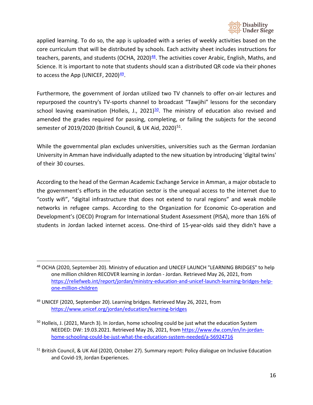

applied learning. To do so, the app is uploaded with a series of weekly activities based on the core curriculum that will be distributed by schools. Each activity sheet includes instructions for teachers, parents, and students (OCHA, 2020) $48$ . The activities cover Arabic, English, Maths, and Science. It is important to note that students should scan a distributed QR code via their phones to access the App (UNICEF, 2020) $49$ .

Furthermore, the government of Jordan utilized two TV channels to offer on-air lectures and repurposed the country's TV-sports channel to broadcast "Tawjihi" lessons for the secondary school leaving examination (Holleis, J., 2021) $50$ . The ministry of education also revised and amended the grades required for passing, completing, or failing the subjects for the second semester of 2019/2020 (British Council, & UK Aid, 2020)<sup>51</sup>.

While the governmental plan excludes universities, universities such as the German Jordanian University in Amman have individually adapted to the new situation by introducing 'digital twins' of their 30 courses.

According to the head of the German Academic Exchange Service in Amman, a major obstacle to the government's efforts in the education sector is the unequal access to the internet due to "costly wifi", "digital infrastructure that does not extend to rural regions" and weak mobile networks in refugee camps. According to the Organization for Economic Co-operation and Development's (OECD) Program for International Student Assessment (PISA), more than 16% of students in Jordan lacked internet access. One-third of 15-year-olds said they didn't have a

<span id="page-15-0"></span><sup>48</sup> OCHA (2020, September 20). Ministry of education and UNICEF LAUNCH "LEARNING BRIDGES" to help one million children RECOVER learning in Jordan - Jordan. Retrieved May 26, 2021, from [https://reliefweb.int/report/jordan/ministry-education-and-unicef-launch-learning-bridges-help](https://reliefweb.int/report/jordan/ministry-education-and-unicef-launch-learning-bridges-help-one-million-children)[one-million-children](https://reliefweb.int/report/jordan/ministry-education-and-unicef-launch-learning-bridges-help-one-million-children)

<span id="page-15-1"></span><sup>&</sup>lt;sup>49</sup> UNICEF (2020, September 20). Learning bridges. Retrieved May 26, 2021, from <https://www.unicef.org/jordan/education/learning-bridges>

<span id="page-15-2"></span> $50$  Holleis, J. (2021, March 3). In Jordan, home schooling could be just what the education System NEEDED: DW: 19.03.2021. Retrieved May 26, 2021, from [https://www.dw.com/en/in-jordan](https://www.dw.com/en/in-jordan-home-schooling-could-be-just-what-the-education-system-needed/a-56924716)[home-schooling-could-be-just-what-the-education-system-needed/a-56924716](https://www.dw.com/en/in-jordan-home-schooling-could-be-just-what-the-education-system-needed/a-56924716)

<span id="page-15-3"></span><sup>&</sup>lt;sup>51</sup> British Council, & UK Aid (2020, October 27). Summary report: Policy dialogue on Inclusive Education and Covid-19, Jordan Experiences.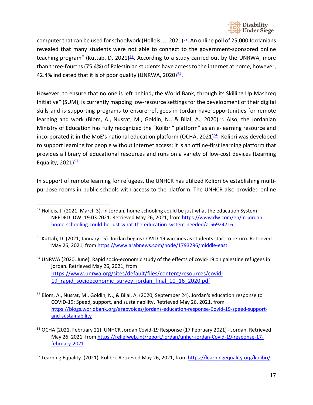

computer that can be used for schoolwork (Holleis, J., 2021) $52$ . An online poll of 25,000 Jordanians revealed that many students were not able to connect to the government-sponsored online teaching program" (Kuttab, D. 2021) $53$ . According to a study carried out by the UNRWA, more than three-fourths(75.4%) of Palestinian students have access to the internet at home; however, 42.4% indicated that it is of poor quality (UNRWA, 2020) $\frac{54}{2}$ .

However, to ensure that no one is left behind, the World Bank, through its Skilling Up Mashreq Initiative" (SUM), is currently mapping low-resource settings for the development of their digital skills and is supporting programs to ensure refugees in Jordan have opportunities for remote learning and work (Blom, A., Nusrat, M., Goldin, N., & Bilal, A., 2020)<sup>55</sup>. Also, the Jordanian Ministry of Education has fully recognized the "Kolibri" platform" as an e-learning resource and incorporated it in the MoE's national education platform (OCHA, 2021) $56$ . Kolibri was developed to support learning for people without Internet access; it is an offline-first learning platform that provides a library of educational resources and runs on a variety of low-cost devices (Learning Equality,  $2021$  $\frac{57}{2}$ .

In support of remote learning for refugees, the UNHCR has utilized Kolibri by establishing multipurpose rooms in public schools with access to the platform. The UNHCR also provided online

<span id="page-16-0"></span><sup>&</sup>lt;sup>52</sup> Holleis, J. (2021, March 3). In Jordan, home schooling could be just what the education System NEEDED: DW: 19.03.2021. Retrieved May 26, 2021, from [https://www.dw.com/en/in-jordan](https://www.dw.com/en/in-jordan-home-schooling-could-be-just-what-the-education-system-needed/a-56924716)[home-schooling-could-be-just-what-the-education-system-needed/a-56924716](https://www.dw.com/en/in-jordan-home-schooling-could-be-just-what-the-education-system-needed/a-56924716)

<span id="page-16-1"></span><sup>&</sup>lt;sup>53</sup> Kuttab, D. (2021, January 15). Jordan begins COVID-19 vaccines as students start to return. Retrieved May 26, 2021, fro[m https://www.arabnews.com/node/1793296/middle-east](https://www.arabnews.com/node/1793296/middle-east)

<span id="page-16-2"></span><sup>&</sup>lt;sup>54</sup> UNRWA (2020, June). Rapid socio-economic study of the effects of covid-19 on palestine refugees in jordan. Retrieved May 26, 2021, from [https://www.unrwa.org/sites/default/files/content/resources/covid-](https://www.unrwa.org/sites/default/files/content/resources/covid-19_rapid_socioeconomic_survey_jordan_final_10_16_2020.pdf)19 rapid socioeconomic survey jordan final 10 16 2020.pdf

<span id="page-16-3"></span><sup>55</sup> Blom, A., Nusrat, M., Goldin, N., & Bilal, A. (2020, September 24). Jordan's education response to COVID-19: Speed, support, and sustainability. Retrieved May 26, 2021, from [https://blogs.worldbank.org/arabvoices/jordans-education-response-Covid-19-speed-support](https://blogs.worldbank.org/arabvoices/jordans-education-response-Covid-19-speed-support-and-sustainability)[and-sustainability](https://blogs.worldbank.org/arabvoices/jordans-education-response-Covid-19-speed-support-and-sustainability)

<span id="page-16-4"></span><sup>&</sup>lt;sup>56</sup> OCHA (2021, February 21). UNHCR Jordan Covid-19 Response (17 February 2021) - Jordan. Retrieved May 26, 2021, fro[m https://reliefweb.int/report/jordan/unhcr-jordan-Covid-19-response-17](https://reliefweb.int/report/jordan/unhcr-jordan-Covid-19-response-17-february-2021) [february-2021](https://reliefweb.int/report/jordan/unhcr-jordan-Covid-19-response-17-february-2021)

<span id="page-16-5"></span><sup>&</sup>lt;sup>57</sup> Learning Equality. (2021). Kolibri. Retrieved May 26, 2021, from<https://learningequality.org/kolibri/>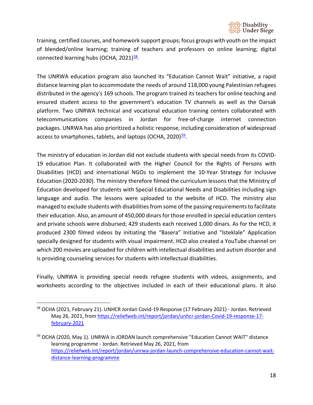

training, certified courses, and homework support groups; focus groups with youth on the impact of blended/online learning; training of teachers and professors on online learning; digital connected learning hubs (OCHA,  $2021$ )<sup>58</sup>.

The UNRWA education program also launched its "Education Cannot Wait" initiative, a rapid distance learning plan to accommodate the needs of around 118,000 young Palestinian refugees distributed in the agency's 169 schools. The program trained its teachers for online teaching and ensured student access to the government's education TV channels as well as the Darsak platform. Two UNRWA technical and vocational education training centers collaborated with telecommunications companies in Jordan for free-of-charge internet connection packages. UNRWA has also prioritized a holistic response, including consideration of widespread access to smartphones, tablets, and laptops (OCHA,  $2020$ ) $^{59}$ .

The ministry of education in Jordan did not exclude students with special needs from its COVID-19 education Plan. It collaborated with the Higher Council for the Rights of Persons with Disabilities (HCD) and international NGOs to implement the 10-Year Strategy for Inclusive Education (2020-2030). The ministry therefore filmed the curriculum lessons that the Ministry of Education developed for students with Special Educational Needs and Disabilities including sign language and audio. The lessons were uploaded to the website of HCD. The ministry also managed to exclude students with disabilities from some of the passing requirements to facilitate their education. Also, an amount of 450,000 dinars for those enrolled in special education centers and private schools were disbursed; 429 students each received 1,000 dinars. As for the HCD, it produced 2300 filmed videos by initiating the "Basera" Initiative and "Isteklale" Application specially designed for students with visual impairment. HCD also created a YouTube channel on which 200 movies are uploaded for children with intellectual disabilities and autism disorder and is providing counseling services for students with intellectual disabilities.

Finally, UNRWA is providing special needs refugee students with videos, assignments, and worksheets according to the objectives included in each of their educational plans. It also

<span id="page-17-0"></span><sup>58</sup> OCHA (2021, February 21). UNHCR Jordan Covid-19 Response (17 February 2021) - Jordan. Retrieved May 26, 2021, fro[m https://reliefweb.int/report/jordan/unhcr-jordan-Covid-19-response-17](https://reliefweb.int/report/jordan/unhcr-jordan-Covid-19-response-17-february-2021) [february-2021](https://reliefweb.int/report/jordan/unhcr-jordan-Covid-19-response-17-february-2021)

<span id="page-17-1"></span><sup>&</sup>lt;sup>59</sup> OCHA (2020, May 1). UNRWA in JORDAN launch comprehensive "Education Cannot WAIT" distance learning programme - Jordan. Retrieved May 26, 2021, from [https://reliefweb.int/report/jordan/unrwa-jordan-launch-comprehensive-education-cannot-wait](https://reliefweb.int/report/jordan/unrwa-jordan-launch-comprehensive-education-cannot-wait-distance-learning-programme)[distance-learning-programme](https://reliefweb.int/report/jordan/unrwa-jordan-launch-comprehensive-education-cannot-wait-distance-learning-programme)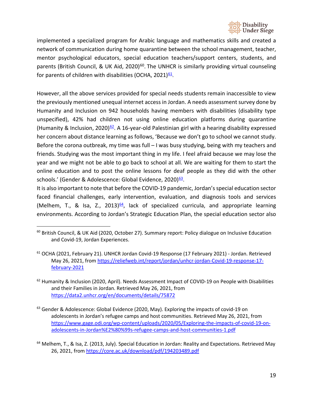

implemented a specialized program for Arabic language and mathematics skills and created a network of communication during home quarantine between the school management, teacher, mentor psychological educators, special education teachers/support centers, students, and parents (British Council, & UK Aid, 2020)<sup>[60](#page-18-0)</sup>. The UNHCR is similarly providing virtual counseling for parents of children with disabilities (OCHA, 2021) $61$ .

However, all the above services provided for special needs students remain inaccessible to view the previously mentioned unequal internet access in Jordan. A needs assessment survey done by Humanity and Inclusion on 942 households having members with disabilities (disability type unspecified), 42% had children not using online education platforms during quarantine (Humanity & Inclusion, 2020)<sup>62</sup>. A 16-year-old Palestinian girl with a hearing disability expressed her concern about distance learning as follows, 'Because we don't go to school we cannot study. Before the corona outbreak, my time was full – I was busy studying, being with my teachers and friends. Studying was the most important thing in my life. I feel afraid because we may lose the year and we might not be able to go back to school at all. We are waiting for them to start the online education and to post the online lessons for deaf people as they did with the other schools.' (Gender & Adolescence: Global Evidence, 2020)<sup>63</sup>.

It is also important to note that before the COVID-19 pandemic, Jordan's special education sector faced financial challenges, early intervention, evaluation, and diagnosis tools and services (Melhem, T., & Isa, Z., 2013) $64$ , lack of specialized curricula, and appropriate learning environments. According to Jordan's Strategic Education Plan, the special education sector also

<span id="page-18-0"></span><sup>&</sup>lt;sup>60</sup> British Council, & UK Aid (2020, October 27). Summary report: Policy dialogue on Inclusive Education and Covid-19, Jordan Experiences.

<span id="page-18-1"></span><sup>61</sup> OCHA (2021, February 21). UNHCR Jordan Covid-19 Response (17 February 2021) - Jordan. Retrieved May 26, 2021, fro[m https://reliefweb.int/report/jordan/unhcr-jordan-Covid-19-response-17](https://reliefweb.int/report/jordan/unhcr-jordan-Covid-19-response-17-february-2021) [february-2021](https://reliefweb.int/report/jordan/unhcr-jordan-Covid-19-response-17-february-2021)

<span id="page-18-2"></span> $62$  Humanity & Inclusion (2020, April). Needs Assessment Impact of COVID-19 on People with Disabilities and their Families in Jordan. Retrieved May 26, 2021, from <https://data2.unhcr.org/en/documents/details/75872>

<span id="page-18-3"></span> $63$  Gender & Adolescence: Global Evidence (2020, May). Exploring the impacts of covid-19 on adolescents in Jordan's refugee camps and host communities. Retrieved May 26, 2021, from [https://www.gage.odi.org/wp-content/uploads/2020/05/Exploring-the-impacts-of-covid-19-on](https://www.gage.odi.org/wp-content/uploads/2020/05/Exploring-the-impacts-of-covid-19-on-adolescents-in-Jordan%E2%80%99s-refugee-camps-and-host-communities-1.pdf)[adolescents-in-Jordan%E2%80%99s-refugee-camps-and-host-communities-1.pdf](https://www.gage.odi.org/wp-content/uploads/2020/05/Exploring-the-impacts-of-covid-19-on-adolescents-in-Jordan%E2%80%99s-refugee-camps-and-host-communities-1.pdf)

<span id="page-18-4"></span><sup>&</sup>lt;sup>64</sup> Melhem, T., & Isa, Z. (2013, July). Special Education in Jordan: Reality and Expectations. Retrieved May 26, 2021, fro[m https://core.ac.uk/download/pdf/194203489.pdf](https://core.ac.uk/download/pdf/194203489.pdf)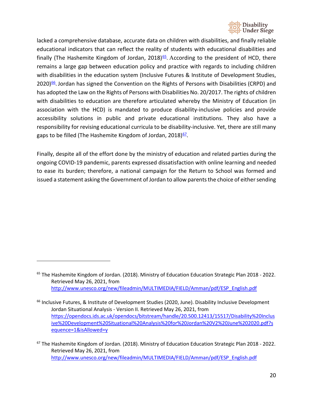

lacked a comprehensive database, accurate data on children with disabilities, and finally reliable educational indicators that can reflect the reality of students with educational disabilities and finally (The Hashemite Kingdom of Jordan, 2018) $65$ . According to the president of HCD, there remains a large gap between education policy and practice with regards to including children with disabilities in the education system (Inclusive Futures & Institute of Development Studies,  $2020)$ <sup>66</sup>. Jordan has signed the Convention on the Rights of Persons with Disabilities (CRPD) and has adopted the Law on the Rights of Persons with Disabilities No. 20/2017. The rights of children with disabilities to education are therefore articulated whereby the Ministry of Education (in association with the HCD) is mandated to produce disability-inclusive policies and provide accessibility solutions in public and private educational institutions. They also have a responsibility for revising educational curricula to be disability-inclusive. Yet, there are still many gaps to be filled (The Hashemite Kingdom of Jordan, 2018)<sup>67</sup>.

Finally, despite all of the effort done by the ministry of education and related parties during the ongoing COVID-19 pandemic, parents expressed dissatisfaction with online learning and needed to ease its burden; therefore, a national campaign for the Return to School was formed and issued a statement asking the Government of Jordan to allow parents the choice of either sending

<span id="page-19-0"></span><sup>&</sup>lt;sup>65</sup> The Hashemite Kingdom of Jordan. (2018). Ministry of Education Education Strategic Plan 2018 - 2022. Retrieved May 26, 2021, from [http://www.unesco.org/new/fileadmin/MULTIMEDIA/FIELD/Amman/pdf/ESP\\_English.pdf](http://www.unesco.org/new/fileadmin/MULTIMEDIA/FIELD/Amman/pdf/ESP_English.pdf)

<span id="page-19-1"></span><sup>&</sup>lt;sup>66</sup> Inclusive Futures, & Institute of Development Studies (2020, June). Disability Inclusive Development Jordan Situational Analysis - Version II. Retrieved May 26, 2021, from [https://opendocs.ids.ac.uk/opendocs/bitstream/handle/20.500.12413/15517/Disability%20Inclus](https://opendocs.ids.ac.uk/opendocs/bitstream/handle/20.500.12413/15517/Disability%20Inclusive%20Development%20Situational%20Analysis%20for%20Jordan%20V2%20June%202020.pdf?sequence=1&isAllowed=y) [ive%20Development%20Situational%20Analysis%20for%20Jordan%20V2%20June%202020.pdf?s](https://opendocs.ids.ac.uk/opendocs/bitstream/handle/20.500.12413/15517/Disability%20Inclusive%20Development%20Situational%20Analysis%20for%20Jordan%20V2%20June%202020.pdf?sequence=1&isAllowed=y) [equence=1&isAllowed=y](https://opendocs.ids.ac.uk/opendocs/bitstream/handle/20.500.12413/15517/Disability%20Inclusive%20Development%20Situational%20Analysis%20for%20Jordan%20V2%20June%202020.pdf?sequence=1&isAllowed=y)

<span id="page-19-2"></span> $67$  The Hashemite Kingdom of Jordan. (2018). Ministry of Education Education Strategic Plan 2018 - 2022. Retrieved May 26, 2021, from [http://www.unesco.org/new/fileadmin/MULTIMEDIA/FIELD/Amman/pdf/ESP\\_English.pdf](http://www.unesco.org/new/fileadmin/MULTIMEDIA/FIELD/Amman/pdf/ESP_English.pdf)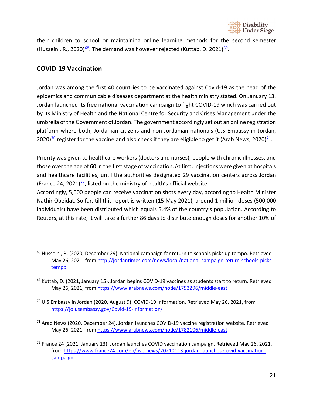

their children to school or maintaining online learning methods for the second semester (Husseini, R., 2020)<sup>68</sup>. The demand was however rejected (Kuttab, D. 2021)<sup>69</sup>.

### <span id="page-20-0"></span>**COVID-19 Vaccination**

Jordan was among the first 40 countries to be vaccinated against Covid-19 as the head of the epidemics and communicable diseases department at the health ministry stated. On January 13, Jordan launched its free national vaccination campaign to fight COVID-19 which was carried out by its [Ministry of Health](https://corona.moh.gov.jo/en) and the [National Centre for Security and Crises Management](https://www.ncscm.gov.jo/) under the umbrella of the Government of Jordan. The government accordingly set out an online registration platform where both, Jordanian citizens and non-Jordanian nationals (U.S Embassy in Jordan, 2020)<sup>70</sup> register for the vaccine and also check if they are eligible to get it (Arab News, 2020)<sup>71</sup>.

Priority was given to healthcare workers (doctors and nurses), people with chronic illnesses, and those over the age of 60 in the first stage of vaccination.At first, injections were given at hospitals and healthcare facilities, until the authorities designated 29 vaccination centers across Jordan (France 24, 2021) $\frac{72}{2}$ , listed on the ministry of health's official website.

Accordingly, 5,000 people can receive vaccination shots every day, according to Health Minister Nathir Obeidat. So far, till this report is written (15 May 2021), around 1 million doses (500,000 individuals) have been distributed which equals 5.4% of the country's population. According to Reuters, at this rate, it will take a further 86 days to distribute enough doses for another 10% of

<span id="page-20-4"></span> $71$  Arab News (2020, December 24). Jordan launches COVID-19 vaccine registration website. Retrieved May 26, 2021, fro[m https://www.arabnews.com/node/1782106/middle-east](https://www.arabnews.com/node/1782106/middle-east)

<span id="page-20-1"></span><sup>&</sup>lt;sup>68</sup> Husseini, R. (2020, December 29). National campaign for return to schools picks up tempo. Retrieved May 26, 2021, fro[m http://jordantimes.com/news/local/national-campaign-return-schools-picks](http://jordantimes.com/news/local/national-campaign-return-schools-picks-tempo)[tempo](http://jordantimes.com/news/local/national-campaign-return-schools-picks-tempo)

<span id="page-20-2"></span><sup>&</sup>lt;sup>69</sup> Kuttab, D. (2021, January 15). Jordan begins COVID-19 vaccines as students start to return. Retrieved May 26, 2021, fro[m https://www.arabnews.com/node/1793296/middle-east](https://www.arabnews.com/node/1793296/middle-east)

<span id="page-20-3"></span> $70$  U.S Embassy in Jordan (2020, August 9). COVID-19 Information. Retrieved May 26, 2021, from <https://jo.usembassy.gov/Covid-19-information/>

<span id="page-20-5"></span> $72$  France 24 (2021, January 13). Jordan launches COVID vaccination campaign. Retrieved May 26, 2021, fro[m https://www.france24.com/en/live-news/20210113-jordan-launches-Covid-vaccination](https://www.france24.com/en/live-news/20210113-jordan-launches-Covid-vaccination-campaign)[campaign](https://www.france24.com/en/live-news/20210113-jordan-launches-Covid-vaccination-campaign)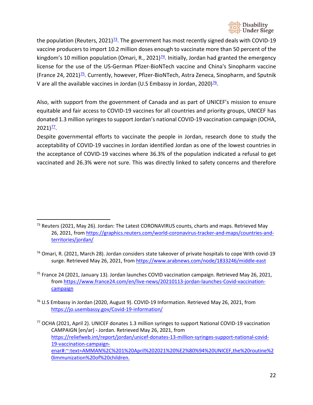

the population (Reuters, 2021)<sup>73</sup>. The government has most recently signed deals with COVID-19 vaccine producers to import 10.2 million doses enough to vaccinate more than 50 percent of the kingdom's 10 million population (Omari, R., 2021)<sup>74</sup>. Initially, Jordan had granted the emergency license for the use of the US-German Pfizer-BioNTech vaccine and China's Sinopharm vaccine (France 24, 2021)<sup> $75$ </sup>. Currently, however, Pfizer-BioNTech, Astra Zeneca, Sinopharm, and Sputnik V are all the available vaccines in Jordan (U.S Embassy in Jordan, 2020) $\frac{76}{6}$ .

Also, with support from the government of Canada and as part of UNICEF's mission to ensure equitable and fair access to COVID-19 vaccines for all countries and priority groups, UNICEF has donated 1.3 million syringes to support Jordan's national COVID-19 vaccination campaign (OCHA,  $2021$ <sup> $77$ </sup>.

Despite governmental efforts to vaccinate the people in Jordan, research done to study the acceptability of COVID-19 vaccines in Jordan identified Jordan as one of the lowest countries in the acceptance of COVID-19 vaccines where 36.3% of the population indicated a refusal to get vaccinated and 26.3% were not sure. This was directly linked to safety concerns and therefore

- <span id="page-21-2"></span><sup>75</sup> France 24 (2021, January 13). Jordan launches COVID vaccination campaign. Retrieved May 26, 2021, fro[m https://www.france24.com/en/live-news/20210113-jordan-launches-Covid-vaccination](https://www.france24.com/en/live-news/20210113-jordan-launches-Covid-vaccination-campaign)[campaign](https://www.france24.com/en/live-news/20210113-jordan-launches-Covid-vaccination-campaign)
- <span id="page-21-3"></span> $76$  U.S Embassy in Jordan (2020, August 9). COVID-19 Information. Retrieved May 26, 2021, from <https://jo.usembassy.gov/Covid-19-information/>
- <span id="page-21-4"></span><sup>77</sup> OCHA (2021, April 2). UNICEF donates 1.3 million syringes to support National COVID-19 vaccination CAMPAIGN [en/ar] - Jordan. Retrieved May 26, 2021, from [https://reliefweb.int/report/jordan/unicef-donates-13-million-syringes-support-national-covid-](https://reliefweb.int/report/jordan/unicef-donates-13-million-syringes-support-national-covid-19-vaccination-campaign-enar%23:%7E:text=AMMAN%2C%201%20April%202021%20%E2%80%94%20UNICEF,the%20routine%20immunization%20of%20children.)[19-vaccination-campaign](https://reliefweb.int/report/jordan/unicef-donates-13-million-syringes-support-national-covid-19-vaccination-campaign-enar%23:%7E:text=AMMAN%2C%201%20April%202021%20%E2%80%94%20UNICEF,the%20routine%20immunization%20of%20children.)[enar#:~:text=AMMAN%2C%201%20April%202021%20%E2%80%94%20UNICEF,the%20routine%2](https://reliefweb.int/report/jordan/unicef-donates-13-million-syringes-support-national-covid-19-vaccination-campaign-enar%23:%7E:text=AMMAN%2C%201%20April%202021%20%E2%80%94%20UNICEF,the%20routine%20immunization%20of%20children.) [0immunization%20of%20children.](https://reliefweb.int/report/jordan/unicef-donates-13-million-syringes-support-national-covid-19-vaccination-campaign-enar%23:%7E:text=AMMAN%2C%201%20April%202021%20%E2%80%94%20UNICEF,the%20routine%20immunization%20of%20children.)

<span id="page-21-0"></span> $<sup>73</sup>$  Reuters (2021, May 26). Jordan: The Latest CORONAVIRUS counts, charts and maps. Retrieved May</sup> 26, 2021, fro[m https://graphics.reuters.com/world-coronavirus-tracker-and-maps/countries-and](https://graphics.reuters.com/world-coronavirus-tracker-and-maps/countries-and-territories/jordan/)[territories/jordan/](https://graphics.reuters.com/world-coronavirus-tracker-and-maps/countries-and-territories/jordan/)

<span id="page-21-1"></span><sup>&</sup>lt;sup>74</sup> Omari, R. (2021, March 28). Jordan considers state takeover of private hospitals to cope With covid-19 surge. Retrieved May 26, 2021, from<https://www.arabnews.com/node/1833246/middle-east>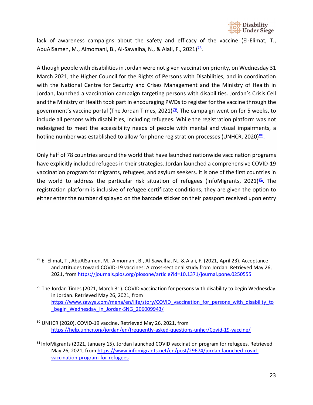

lack of awareness campaigns about the safety and efficacy of the vaccine (El-Elimat, T., AbuAlSamen, M., Almomani, B., Al-Sawalha, N., & Alali, F., 2021)<sup>78</sup>.

Although people with disabilities in Jordan were not given vaccination priority, on Wednesday 31 March 2021, the Higher Council for the Rights of Persons with Disabilities, and in coordination with the National Centre for Security and Crises Management and the Ministry of Health in Jordan, launched a vaccination campaign targeting persons with disabilities. Jordan's Crisis Cell and the Ministry of Health took part in encouraging PWDs to register for the vaccine through the government's vaccine portal (The Jordan Times, 2021) $\frac{79}{2}$ . The campaign went on for 5 weeks, to include all persons with disabilities, including refugees. While the registration platform was not redesigned to meet the accessibility needs of people with mental and visual impairments, a hotline number was established to allow for phone registration processes (UNHCR, 2020) $80$ .

Only half of 78 countries around the world that have launched nationwide vaccination programs have explicitly included refugees in their strategies. Jordan launched a comprehensive COVID-19 vaccination program for migrants, refugees, and asylum seekers. It is one of the first countries in the world to address the particular risk situation of refugees (InfoMigrants, 2021) $^{81}$ . The registration platform is inclusive of refugee certificate conditions; they are given the option to either enter the number displayed on the barcode sticker on their passport received upon entry

<span id="page-22-0"></span><sup>78</sup> El-Elimat, T., AbuAlSamen, M., Almomani, B., Al-Sawalha, N., & Alali, F. (2021, April 23). Acceptance and attitudes toward COVID-19 vaccines: A cross-sectional study from Jordan. Retrieved May 26, 2021, from<https://journals.plos.org/plosone/article?id=10.1371/journal.pone.0250555>

<span id="page-22-1"></span> $79$  The Jordan Times (2021, March 31). COVID vaccination for persons with disability to begin Wednesday in Jordan. Retrieved May 26, 2021, from https://www.zawya.com/mena/en/life/story/COVID vaccination for persons with disability to begin\_Wednesday\_in\_Jordan-SNG\_206009943/

<span id="page-22-2"></span><sup>80</sup> UNHCR (2020). COVID-19 vaccine. Retrieved May 26, 2021, from <https://help.unhcr.org/jordan/en/frequently-asked-questions-unhcr/Covid-19-vaccine/>

<span id="page-22-3"></span><sup>81</sup> InfoMigrants (2021, January 15). Jordan launched COVID vaccination program for refugees. Retrieved May 26, 2021, fro[m https://www.infomigrants.net/en/post/29674/jordan-launched-covid](https://www.infomigrants.net/en/post/29674/jordan-launched-covid-vaccination-program-for-refugees)[vaccination-program-for-refugees](https://www.infomigrants.net/en/post/29674/jordan-launched-covid-vaccination-program-for-refugees)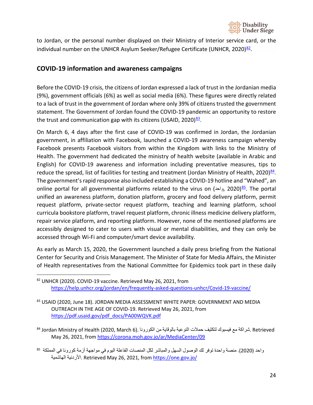

to Jordan, or the personal number displayed on their Ministry of Interior service card, or the individual number on the UNHCR Asylum Seeker/Refugee Certificate (UNHCR, 2020) $^{82}$ .

### <span id="page-23-0"></span>**COVID-19 information and awareness campaigns**

Before the COVID-19 crisis, the citizens of Jordan expressed a lack of trust in the Jordanian media (9%), government officials (6%) as well as social media (6%). These figures were directly related to a lack of trust in the government of Jordan where only 39% of citizens trusted the government statement. The Government of Jordan found the COVID-19 pandemic an opportunity to restore the trust and communication gap with its citizens (USAID, 2020) $\frac{83}{2}$ .

On March 6, 4 days after the first case of COVID-19 was confirmed in Jordan, the Jordanian government, in affiliation with Facebook, launched a COVID-19 awareness campaign whereby Facebook presents Facebook visitors from within the Kingdom with links to the Ministry of Health. The government had dedicated the ministry of health website (available in Arabic and English) for COVID-19 awareness and information including preventative measures, tips to reduce the spread, list of facilities for testing and treatment (Jordan Ministry of Health, 2020) $^{84}$ . The government's rapid response also included establishing a COVID-19 hotline and "Wahed", an online portal for all governmental platforms related to the virus on (واحد, 2020)<sup>85</sup>. The portal unified an awareness platform, donation platform, grocery and food delivery platform, permit request platform, private-sector request platform, teaching and learning platform, school curricula bookstore platform, travel request platform, chronic illness medicine delivery platform, repair service platform, and reporting platform. However, none of the mentioned platforms are accessibly designed to cater to users with visual or mental disabilities, and they can only be accessed through Wi-Fi and computer/smart device availability.

As early as March 15, 2020, the Government launched a daily press briefing from the National Center for Security and Crisis Management. The Minister of State for Media Affairs, the Minister of Health representatives from the National Committee for Epidemics took part in these daily

<span id="page-23-1"></span><sup>82</sup> UNHCR (2020). COVID-19 vaccine. Retrieved May 26, 2021, from <https://help.unhcr.org/jordan/en/frequently-asked-questions-unhcr/Covid-19-vaccine/>

<span id="page-23-2"></span><sup>83</sup> USAID (2020, June 18). JORDAN MEDIA ASSESSMENT WHITE PAPER: GOVERNMENT AND MEDIA OUTREACH IN THE AGE OF COVID-19. Retrieved May 26, 2021, from [https://pdf.usaid.gov/pdf\\_docs/PA00WQVK.pdf](https://pdf.usaid.gov/pdf_docs/PA00WQVK.pdf)

<span id="page-23-3"></span>Retrieved .شراكة مع فیسبوك لتكثیف حملات التوعیة بالوقایة من الكورونا .(6 March 2020, (Health of Ministry Jordan <sup>84</sup> May 26, 2021, fro[m https://corona.moh.gov.jo/ar/MediaCenter/09](https://corona.moh.gov.jo/ar/MediaCenter/09)

<span id="page-23-4"></span>واحد ( 2020). منصة واحدة توفر لك الوصول السھل والمباشر لكل المنصات الفاعلة الیوم في مواجھة أزمة كورونا في المملكة <sup>85</sup> الھاشمیة الأردنیة. Retrieved May 26, 2021, fro[m https://one.gov.jo/](https://one.gov.jo/)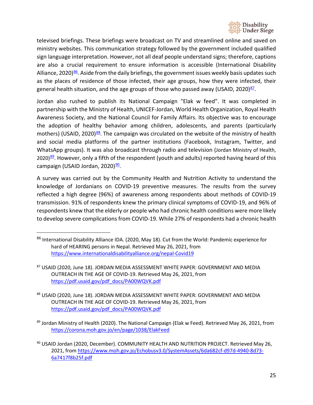

televised briefings. These briefings were broadcast on TV and streamlined online and saved on ministry websites. This communication strategy followed by the government included qualified sign language interpretation. However, not all deaf people understand signs; therefore, captions are also a crucial requirement to ensure information is accessible (International Disability Alliance, 2020) $86$ . Aside from the daily briefings, the government issues weekly basis updates such as the places of residence of those infected, their age groups, how they were infected, their general health situation, and the age groups of those who passed away (USAID, 2020) $87$ .

Jordan also rushed to publish its National Campaign "Elak w feed". It was completed in partnership with the Ministry of Health, UNICEF-Jordan, World Health Organization, Royal Health Awareness Society, and the National Council for Family Affairs. Its objective was to encourage the adoption of healthy behavior among children, adolescents, and parents (particularly mothers) (USAID, 2020)<sup>88</sup>. The campaign was circulated on the website of the ministry of health and social media platforms of the partner institutions (Facebook, Instagram, Twitter, and WhatsApp groups). It was also broadcast through radio and television (Jordan Ministry of Health, 2020[\)](https://corona.moh.gov.jo/en/page/1038/ElakFeed)<sup>89</sup>. However, only a fifth of the respondent (youth and adults) reported having heard of this campaign (USAID Jordan, 2020)<sup>90</sup>.

A survey was carried out by the Community Health and Nutrition Activity to understand the knowledge of Jordanians on COVID-19 preventive measures. The results from the survey reflected a high degree (96%) of awareness among respondents about methods of COVID-19 transmission. 91% of respondents knew the primary clinical symptoms of COVID-19, and 96% of respondents knew that the elderly or people who had chronic health conditions were more likely to develop severe complications from COVID-19. While 27% of respondents had a chronic health

- <span id="page-24-2"></span>88 USAID (2020, June 18). JORDAN MEDIA ASSESSMENT WHITE PAPER: GOVERNMENT AND MEDIA OUTREACH IN THE AGE OF COVID-19. Retrieved May 26, 2021, from [https://pdf.usaid.gov/pdf\\_docs/PA00WQVK.pdf](https://pdf.usaid.gov/pdf_docs/PA00WQVK.pdf)
- <span id="page-24-3"></span>89 Jordan Ministry of Health (2020). The National Campaign (Elak w Feed). Retrieved May 26, 2021, from <https://corona.moh.gov.jo/en/page/1038/ElakFeed>

<span id="page-24-0"></span><sup>86</sup> International Disability Alliance IDA. (2020, May 18). Cut from the World: Pandemic experience for hard of HEARING persons in Nepal. Retrieved May 26, 2021, from <https://www.internationaldisabilityalliance.org/nepal-Covid19>

<span id="page-24-1"></span><sup>87</sup> USAID (2020, June 18). JORDAN MEDIA ASSESSMENT WHITE PAPER: GOVERNMENT AND MEDIA OUTREACH IN THE AGE OF COVID-19. Retrieved May 26, 2021, from [https://pdf.usaid.gov/pdf\\_docs/PA00WQVK.pdf](https://pdf.usaid.gov/pdf_docs/PA00WQVK.pdf)

<span id="page-24-4"></span><sup>90</sup> USAID Jordan (2020, December). COMMUNITY HEALTH AND NUTRITION PROJECT. Retrieved May 26, 2021, from [https://www.moh.gov.jo/Echobusv3.0/SystemAssets/6da682cf-d97d-4940-8d73-](https://www.moh.gov.jo/Echobusv3.0/SystemAssets/6da682cf-d97d-4940-8d73-6a7417f8b25f.pdf) [6a7417f8b25f.pdf](https://www.moh.gov.jo/Echobusv3.0/SystemAssets/6da682cf-d97d-4940-8d73-6a7417f8b25f.pdf)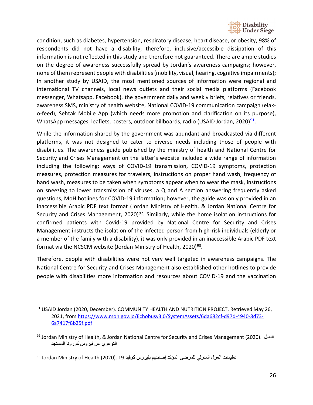

condition, such as diabetes, hypertension, respiratory disease, heart disease, or obesity, 98% of respondents did not have a disability; therefore, inclusive/accessible dissipation of this information is not reflected in this study and therefore not guaranteed. There are ample studies on the degree of awareness successfully spread by Jordan's awareness campaigns; however, none of them represent people with disabilities (mobility, visual, hearing, cognitive impairments); In another study by USAID, the most mentioned sources of information were regional and international TV channels, local news outlets and their social media platforms (Facebook messenger, Whatsapp, Facebook), the government daily and weekly briefs, relatives or friends, awareness SMS, ministry of health website, National COVID-19 communication campaign (elako-feed), Sehtak Mobile App (which needs more promotion and clarification on its purpose), WhatsApp messages, leaflets, posters, outdoor billboards, radio (USAID Jordan, 2020)<sup>91</sup>.

While the information shared by the government was abundant and broadcasted via different platforms, it was not designed to cater to diverse needs including those of people with disabilities. The awareness guide published by the ministry of health and National Centre for Security and Crises Management on the latter's website included a wide range of information including the following: ways of COVID-19 transmission, COVID-19 symptoms, protection measures, protection measures for travelers, instructions on proper hand wash, frequency of hand wash, measures to be taken when symptoms appear when to wear the mask, instructions on sneezing to lower transmission of viruses, a Q and A section answering frequently asked questions, MoH hotlines for COVID-19 information; however, the guide was only provided in an inaccessible Arabic PDF text format (Jordan Ministry of Health, & Jordan National Centre for Security and Crises Management, 2020)<sup>92</sup>. Similarly, while the home isolation instructions for confirmed patients with Covid-19 provided by National Centre for Security and Crises Management instructs the isolation of the infected person from high-risk individuals (elderly or a member of the family with a disability), it was only provided in an inaccessible Arabic PDF text format via the NCSCM website (Jordan Ministry of Health, 2020)<sup>[93](#page-25-2)</sup>.

Therefore, people with disabilities were not very well targeted in awareness campaigns. The National Centre for Security and Crises Management also established other hotlines to provide people with disabilities more information and resources about COVID-19 and the vaccination

<span id="page-25-0"></span><sup>&</sup>lt;sup>91</sup> USAID Jordan (2020, December). COMMUNITY HEALTH AND NUTRITION PROJECT. Retrieved May 26, 2021, from [https://www.moh.gov.jo/Echobusv3.0/SystemAssets/6da682cf-d97d-4940-8d73-](https://www.moh.gov.jo/Echobusv3.0/SystemAssets/6da682cf-d97d-4940-8d73-6a7417f8b25f.pdf) [6a7417f8b25f.pdf](https://www.moh.gov.jo/Echobusv3.0/SystemAssets/6da682cf-d97d-4940-8d73-6a7417f8b25f.pdf)

<span id="page-25-1"></span><sup>92</sup> Jordan Ministry of Health, & Jordan National Centre for Security and Crises Management (2020). الدلیل التوعوي عن فیروس كورونا المستجد

<span id="page-25-2"></span>تعليمات العزل المنزلي للمرضى المؤكد إصابتهم بفيروس كوفيد-19. Jordan Ministry of Health (2020). <sup>93</sup>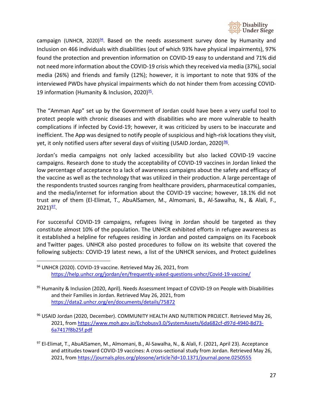

campaign (UNHCR, 2020) $24$ . Based on the needs assessment survey done by Humanity and Inclusion on 466 individuals with disabilities (out of which 93% have physical impairments), 97% found the protection and prevention information on COVID-19 easy to understand and 71% did not need more information about the COVID-19 crisis which they received via media (37%), social media (26%) and friends and family (12%); however, it is important to note that 93% of the interviewed PWDs have physical impairments which do not hinder them from accessing COVID-19 information (Humanity & Inclusion, 2020)<sup>95</sup>.

The "Amman App" set up by the Government of Jordan could have been a very useful tool to protect people with chronic diseases and with disabilities who are more vulnerable to health complications if infected by Covid-19; however, it was criticized by users to be inaccurate and inefficient. The App was designed to notify people of suspicious and high-risk locations they visit, yet, it only notified users after several days of visiting (USAID Jordan, 2020) $\frac{96}{5}$ .

Jordan's media campaigns not only lacked accessibility but also lacked COVID-19 vaccine campaigns. Research done to study the acceptability of COVID-19 vaccines in Jordan linked the low percentage of acceptance to a lack of awareness campaigns about the safety and efficacy of the vaccine as well as the technology that was utilized in their production. A large percentage of the respondents trusted sources ranging from healthcare providers, pharmaceutical companies, and the media/internet for information about the COVID-19 vaccine; however, 18.1% did not trust any of them (El-Elimat, T., AbuAlSamen, M., Almomani, B., Al-Sawalha, N., & Alali, F.,  $2021)$ <sup>97</sup>.

For successful COVID-19 campaigns, refugees living in Jordan should be targeted as they constitute almost 10% of the population. The UNHCR exhibited efforts in refugee awareness as it established a helpline for refugees residing in Jordan and posted campaigns on its [Facebook](https://www.facebook.com/UNHCRJordan) and [Twitter](https://twitter.com/UNHCRJordan) pages. UNHCR also posted procedures to follow on its website that covered the following subjects: COVID-19 latest news, a list of the UNHCR services, and Protect guidelines

- <span id="page-26-1"></span><sup>95</sup> Humanity & Inclusion (2020, April). Needs Assessment Impact of COVID-19 on People with Disabilities and their Families in Jordan. Retrieved May 26, 2021, from <https://data2.unhcr.org/en/documents/details/75872>
- <span id="page-26-2"></span><sup>96</sup> USAID Jordan (2020, December). COMMUNITY HEALTH AND NUTRITION PROJECT. Retrieved May 26, 2021, from [https://www.moh.gov.jo/Echobusv3.0/SystemAssets/6da682cf-d97d-4940-8d73-](https://www.moh.gov.jo/Echobusv3.0/SystemAssets/6da682cf-d97d-4940-8d73-6a7417f8b25f.pdf) [6a7417f8b25f.pdf](https://www.moh.gov.jo/Echobusv3.0/SystemAssets/6da682cf-d97d-4940-8d73-6a7417f8b25f.pdf)
- <span id="page-26-3"></span>97 El-Elimat, T., AbuAlSamen, M., Almomani, B., Al-Sawalha, N., & Alali, F. (2021, April 23). Acceptance and attitudes toward COVID-19 vaccines: A cross-sectional study from Jordan. Retrieved May 26, 2021, from<https://journals.plos.org/plosone/article?id=10.1371/journal.pone.0250555>

<span id="page-26-0"></span><sup>94</sup> UNHCR (2020). COVID-19 vaccine. Retrieved May 26, 2021, from <https://help.unhcr.org/jordan/en/frequently-asked-questions-unhcr/Covid-19-vaccine/>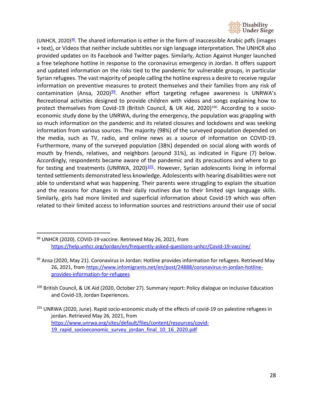

(UNHCR, 2020) $98$ . The shared information is either in the form of inaccessible Arabic pdfs (images + text), or Videos that neither include subtitles nor sign language interpretation. The UNHCR also provided updates on its Facebook and Twitter pages. Similarly, Action Against Hunger launched a free telephone hotline in response to the coronavirus emergency in Jordan. It offers support and updated information on the risks tied to the pandemic for vulnerable groups, in particular Syrian refugees. The vast majority of people calling the hotline express a desire to receive regular information on preventive measures to protect themselves and their families from any risk of contamination (Ansa, 2020) $99$ . Another effort targeting refugee awareness is UNRWA's Recreational activities designed to provide children with videos and songs explaining how to protect themselves from Covid-19 (British Council, & UK Aid, 2020)<sup>100</sup>. According to a socioeconomic study done by the UNRWA, during the emergency, the population was grappling with so much information on the pandemic and its related closures and lockdowns and was seeking information from various sources. The majority (98%) of the surveyed population depended on the media, such as TV, radio, and online news as a source of information on COVID-19. Furthermore, many of the surveyed population (38%) depended on social along with words of mouth by friends, relatives, and neighbors (around 31%), as indicated in Figure (7) below. Accordingly, respondents became aware of the pandemic and its precautions and where to go for testing and treatments (UNRWA, 2020) $101$ . However, Syrian adolescents living in informal tented settlements demonstrated less knowledge. Adolescents with hearing disabilities were not able to understand what was happening. Their parents were struggling to explain the situation and the reasons for changes in their daily routines due to their limited sign language skills. Similarly, girls had more limited and superficial information about Covid-19 which was often related to their limited access to information sources and restrictions around their use of social

- <span id="page-27-2"></span><sup>100</sup> British Council, & UK Aid (2020, October 27). Summary report: Policy dialogue on Inclusive Education and Covid-19, Jordan Experiences.
- <span id="page-27-3"></span><sup>101</sup> UNRWA (2020, June). Rapid socio-economic study of the effects of covid-19 on palestine refugees in jordan. Retrieved May 26, 2021, from [https://www.unrwa.org/sites/default/files/content/resources/covid-](https://www.unrwa.org/sites/default/files/content/resources/covid-19_rapid_socioeconomic_survey_jordan_final_10_16_2020.pdf)19 rapid socioeconomic survey jordan final 10 16 2020.pdf

<span id="page-27-0"></span><sup>98</sup> UNHCR (2020). COVID-19 vaccine. Retrieved May 26, 2021, from <https://help.unhcr.org/jordan/en/frequently-asked-questions-unhcr/Covid-19-vaccine/>

<span id="page-27-1"></span> $99$  Ansa (2020, May 21). Coronavirus in Jordan: Hotline provides information for refugees. Retrieved May 26, 2021, fro[m https://www.infomigrants.net/en/post/24888/coronavirus-in-jordan-hotline](https://www.infomigrants.net/en/post/24888/coronavirus-in-jordan-hotline-provides-information-for-refugees)[provides-information-for-refugees](https://www.infomigrants.net/en/post/24888/coronavirus-in-jordan-hotline-provides-information-for-refugees)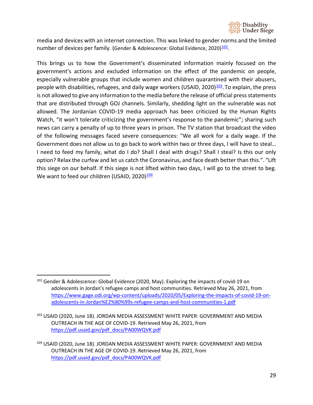

media and devices with an internet connection. This was linked to gender norms and the limited number of devices per family. (Gender & Adolescence: Global Evidence, 2020)<sup>102</sup>.

This brings us to how the Government's disseminated information mainly focused on the government's actions and excluded information on the effect of the pandemic on people, especially vulnerable groups that include women and children quarantined with their abusers, people with disabilities, refugees, and daily wage workers (USAID, 2020) $\frac{103}{103}$ . To explain, the press is not allowed to give any information to the media before the release of official press statements that are distributed through GOJ channels. Similarly, shedding light on the vulnerable was not allowed. The Jordanian COVID-19 media approach has been criticized by the Human Rights Watch, "it won't tolerate criticizing the government's response to the pandemic"; sharing such news can carry a penalty of up to three years in prison. The TV station that broadcast the video of the following messages faced severe consequences: "We all work for a daily wage. If the Government does not allow us to go back to work within two or three days, I will have to steal… I need to feed my family, what do I do? Shall I deal with drugs? Shall I steal? Is this our only option? Relax the curfew and let us catch the Coronavirus, and face death better than this.". "Lift this siege on our behalf. If this siege is not lifted within two days, I will go to the street to beg. We want to feed our children (USAID, 2020) $\frac{104}{10}$ 

<span id="page-28-0"></span> $102$  Gender & Adolescence: Global Evidence (2020, May). Exploring the impacts of covid-19 on adolescents in Jordan's refugee camps and host communities. Retrieved May 26, 2021, from [https://www.gage.odi.org/wp-content/uploads/2020/05/Exploring-the-impacts-of-covid-19-on](https://www.gage.odi.org/wp-content/uploads/2020/05/Exploring-the-impacts-of-covid-19-on-adolescents-in-Jordan%E2%80%99s-refugee-camps-and-host-communities-1.pdf)[adolescents-in-Jordan%E2%80%99s-refugee-camps-and-host-communities-1.pdf](https://www.gage.odi.org/wp-content/uploads/2020/05/Exploring-the-impacts-of-covid-19-on-adolescents-in-Jordan%E2%80%99s-refugee-camps-and-host-communities-1.pdf)

<span id="page-28-1"></span><sup>103</sup> USAID (2020, June 18). JORDAN MEDIA ASSESSMENT WHITE PAPER: GOVERNMENT AND MEDIA OUTREACH IN THE AGE OF COVID-19. Retrieved May 26, 2021, from [https://pdf.usaid.gov/pdf\\_docs/PA00WQVK.pdf](https://pdf.usaid.gov/pdf_docs/PA00WQVK.pdf)

<span id="page-28-2"></span><sup>104</sup> USAID (2020, June 18). JORDAN MEDIA ASSESSMENT WHITE PAPER: GOVERNMENT AND MEDIA OUTREACH IN THE AGE OF COVID-19. Retrieved May 26, 2021, from [https://pdf.usaid.gov/pdf\\_docs/PA00WQVK.pdf](https://pdf.usaid.gov/pdf_docs/PA00WQVK.pdf)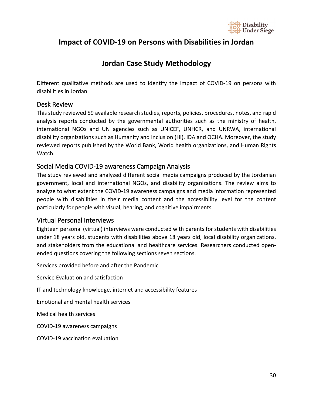

# <span id="page-29-0"></span>**Impact of COVID-19 on Persons with Disabilities in Jordan**

# **Jordan Case Study Methodology**

<span id="page-29-1"></span>Different qualitative methods are used to identify the impact of COVID-19 on persons with disabilities in Jordan.

### <span id="page-29-2"></span>Desk Review

This study reviewed 59 available research studies, reports, policies, procedures, notes, and rapid analysis reports conducted by the governmental authorities such as the ministry of health, international NGOs and UN agencies such as UNICEF, UNHCR, and UNRWA, international disability organizations such as Humanity and Inclusion (HI), IDA and OCHA. Moreover, the study reviewed reports published by the World Bank, World health organizations, and Human Rights Watch.

### <span id="page-29-3"></span>Social Media COVID-19 awareness Campaign Analysis

The study reviewed and analyzed different social media campaigns produced by the Jordanian government, local and international NGOs, and disability organizations. The review aims to analyze to what extent the COVID-19 awareness campaigns and media information represented people with disabilities in their media content and the accessibility level for the content particularly for people with visual, hearing, and cognitive impairments.

### <span id="page-29-4"></span>Virtual Personal Interviews

Eighteen personal (virtual) interviews were conducted with parents for students with disabilities under 18 years old, students with disabilities above 18 years old, local disability organizations, and stakeholders from the educational and healthcare services. Researchers conducted openended questions covering the following sections seven sections.

Services provided before and after the Pandemic

Service Evaluation and satisfaction

IT and technology knowledge, internet and accessibility features

Emotional and mental health services

Medical health services

COVID-19 awareness campaigns

COVID-19 vaccination evaluation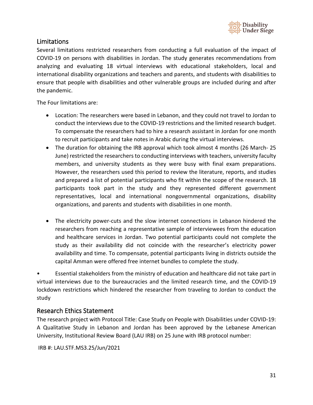

### <span id="page-30-0"></span>Limitations

Several limitations restricted researchers from conducting a full evaluation of the impact of COVID-19 on persons with disabilities in Jordan. The study generates recommendations from analyzing and evaluating 18 virtual interviews with educational stakeholders, local and international disability organizations and teachers and parents, and students with disabilities to ensure that people with disabilities and other vulnerable groups are included during and after the pandemic.

The Four limitations are:

- Location: The researchers were based in Lebanon, and they could not travel to Jordan to conduct the interviews due to the COVID-19 restrictions and the limited research budget. To compensate the researchers had to hire a research assistant in Jordan for one month to recruit participants and take notes in Arabic during the virtual interviews.
- The duration for obtaining the IRB approval which took almost 4 months (26 March- 25 June) restricted the researchers to conducting interviews with teachers, university faculty members, and university students as they were busy with final exam preparations. However, the researchers used this period to review the literature, reports, and studies and prepared a list of potential participants who fit within the scope of the research. 18 participants took part in the study and they represented different government representatives, local and international nongovernmental organizations, disability organizations, and parents and students with disabilities in one month.
- The electricity power-cuts and the slow internet connections in Lebanon hindered the researchers from reaching a representative sample of interviewees from the education and healthcare services in Jordan. Two potential participants could not complete the study as their availability did not coincide with the researcher's electricity power availability and time. To compensate, potential participants living in districts outside the capital Amman were offered free internet bundles to complete the study.

• Essential stakeholders from the ministry of education and healthcare did not take part in virtual interviews due to the bureaucracies and the limited research time, and the COVID-19 lockdown restrictions which hindered the researcher from traveling to Jordan to conduct the study

### <span id="page-30-1"></span>Research Ethics Statement

The research project with Protocol Title: Case Study on People with Disabilities under COVID-19: A Qualitative Study in Lebanon and Jordan has been approved by the Lebanese American University, Institutional Review Board (LAU IRB) on 25 June with IRB protocol number:

IRB #: LAU.STF.MS3.25/Jun/2021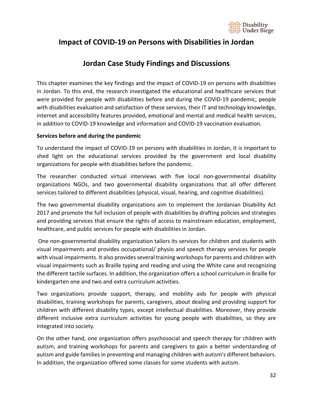

# <span id="page-31-0"></span>**Impact of COVID-19 on Persons with Disabilities in Jordan**

# **Jordan Case Study Findings and Discussions**

<span id="page-31-1"></span>This chapter examines the key findings and the impact of COVID-19 on persons with disabilities in Jordan. To this end, the research investigated the educational and healthcare services that were provided for people with disabilities before and during the COVID-19 pandemic, people with disabilities evaluation and satisfaction of these services, their IT and technology knowledge, internet and accessibility features provided, emotional and mental and medical health services, in addition to COVID-19 knowledge and information and COVID-19 vaccination evaluation.

#### **Services before and during the pandemic**

To understand the impact of COVID-19 on persons with disabilities in Jordan, it is important to shed light on the educational services provided by the government and local disability organizations for people with disabilities before the pandemic.

The researcher conducted virtual interviews with five local non-governmental disability organizations NGOs, and two governmental disability organizations that all offer different services tailored to different disabilities (physical, visual, hearing, and cognitive disabilities).

The two governmental disability organizations aim to implement the Jordanian Disability Act 2017 and promote the full inclusion of people with disabilities by drafting policies and strategies and providing services that ensure the rights of access to mainstream education, employment, healthcare, and public services for people with disabilities in Jordan.

One non-governmental disability organization tailors its services for children and students with visual impairments and provides occupational/ physio and speech therapy services for people with visual impairments. It also provides several training workshopsfor parents and children with visual impairments such as Braille typing and reading and using the White cane and recognizing the different tactile surfaces. In addition, the organization offers a school curriculum in Braille for kindergarten one and two and extra curriculum activities.

Two organizations provide support, therapy, and mobility aids for people with physical disabilities, training workshops for parents, caregivers, about dealing and providing support for children with different disability types, except intellectual disabilities. Moreover, they provide different inclusive extra curriculum activities for young people with disabilities, so they are integrated into society.

On the other hand, one organization offers psychosocial and speech therapy for children with autism, and training workshops for parents and caregivers to gain a better understanding of autism and guide families in preventing and managing children with autism's different behaviors. In addition, the organization offered some classes for some students with autism.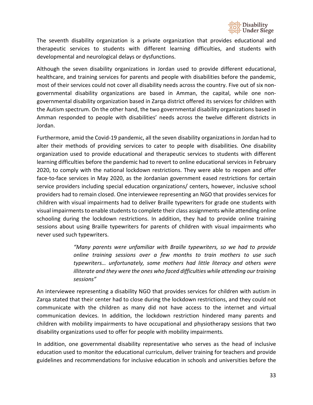

The seventh disability organization is a private organization that provides educational and therapeutic services to students with different learning difficulties, and students with developmental and neurological delays or dysfunctions.

Although the seven disability organizations in Jordan used to provide different educational, healthcare, and training services for parents and people with disabilities before the pandemic, most of their services could not cover all disability needs across the country. Five out of six nongovernmental disability organizations are based in Amman, the capital, while one nongovernmental disability organization based in Zarqa district offered its services for children with the Autism spectrum. On the other hand, the two governmental disability organizations based in Amman responded to people with disabilities' needs across the twelve different districts in Jordan.

Furthermore, amid the Covid-19 pandemic, all the seven disability organizations in Jordan had to alter their methods of providing services to cater to people with disabilities. One disability organization used to provide educational and therapeutic services to students with different learning difficulties before the pandemic had to revert to online educational services in February 2020, to comply with the national lockdown restrictions. They were able to reopen and offer face-to-face services in May 2020, as the Jordanian government eased restrictions for certain service providers including special education organizations/ centers, however, inclusive school providers had to remain closed. One interviewee representing an NGO that provides services for children with visual impairments had to deliver Braille typewriters for grade one students with visual impairments to enable students to complete their class assignments while attending online schooling during the lockdown restrictions. In addition, they had to provide online training sessions about using Braille typewriters for parents of children with visual impairments who never used such typewriters.

> *"Many parents were unfamiliar with Braille typewriters, so we had to provide online training sessions over a few months to train mothers to use such typewriters… unfortunately, some mothers had little literacy and others were illiterate and they were the ones who faced difficulties while attending our training sessions"*

An interviewee representing a disability NGO that provides services for children with autism in Zarqa stated that their center had to close during the lockdown restrictions, and they could not communicate with the children as many did not have access to the internet and virtual communication devices. In addition, the lockdown restriction hindered many parents and children with mobility impairments to have occupational and physiotherapy sessions that two disability organizations used to offer for people with mobility impairments.

In addition, one governmental disability representative who serves as the head of inclusive education used to monitor the educational curriculum, deliver training for teachers and provide guidelines and recommendations for inclusive education in schools and universities before the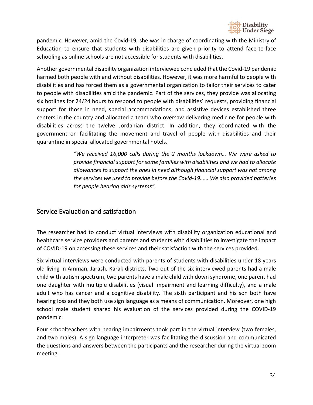

pandemic. However, amid the Covid-19, she was in charge of coordinating with the Ministry of Education to ensure that students with disabilities are given priority to attend face-to-face schooling as online schools are not accessible for students with disabilities.

Another governmental disability organization interviewee concluded that the Covid-19 pandemic harmed both people with and without disabilities. However, it was more harmful to people with disabilities and has forced them as a governmental organization to tailor their services to cater to people with disabilities amid the pandemic. Part of the services, they provide was allocating six hotlines for 24/24 hours to respond to people with disabilities' requests, providing financial support for those in need, special accommodations, and assistive devices established three centers in the country and allocated a team who oversaw delivering medicine for people with disabilities across the twelve Jordanian district. In addition, they coordinated with the government on facilitating the movement and travel of people with disabilities and their quarantine in special allocated governmental hotels.

> *"We received 16,000 calls during the 2 months lockdown… We were asked to provide financial support for some families with disabilities and we had to allocate allowances to support the ones in need although financial support was not among the services we used to provide before the Covid-19…… We also provided batteries for people hearing aids systems".*

## <span id="page-33-0"></span>Service Evaluation and satisfaction

The researcher had to conduct virtual interviews with disability organization educational and healthcare service providers and parents and students with disabilities to investigate the impact of COVID-19 on accessing these services and their satisfaction with the services provided.

Six virtual interviews were conducted with parents of students with disabilities under 18 years old living in Amman, Jarash, Karak districts. Two out of the six interviewed parents had a male child with autism spectrum, two parents have a male child with down syndrome, one parent had one daughter with multiple disabilities (visual impairment and learning difficulty), and a male adult who has cancer and a cognitive disability. The sixth participant and his son both have hearing loss and they both use sign language as a means of communication. Moreover, one high school male student shared his evaluation of the services provided during the COVID-19 pandemic.

Four schoolteachers with hearing impairments took part in the virtual interview (two females, and two males). A sign language interpreter was facilitating the discussion and communicated the questions and answers between the participants and the researcher during the virtual zoom meeting.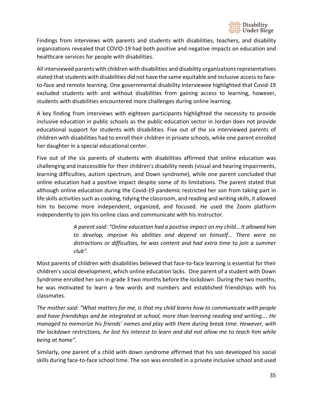

Findings from interviews with parents and students with disabilities, teachers, and disability organizations revealed that COVID-19 had both positive and negative impacts on education and healthcare services for people with disabilities.

All interviewed parents with children with disabilities and disability organizations representatives stated that students with disabilities did not have the same equitable and inclusive access to faceto-face and remote learning. One governmental disability interviewee highlighted that Covid-19 excluded students with and without disabilities from gaining access to learning, however, students with disabilities encountered more challenges during online learning.

A key finding from interviews with eighteen participants highlighted the necessity to provide inclusive education in public schools as the public education sector in Jordan does not provide educational support for students with disabilities. Five out of the six interviewed parents of children with disabilities had to enroll their children in private schools, while one parent enrolled her daughter in a special educational center.

Five out of the six parents of students with disabilities affirmed that online education was challenging and inaccessible for their children's disability needs (visual and hearing impairments, learning difficulties, autism spectrum, and Down syndrome), while one parent concluded that online education had a positive impact despite some of its limitations. The parent stated that although online education during the Covid-19 pandemic restricted her son from taking part in life skills activities such as cooking, tidying the classroom, and reading and writing skills, it allowed him to become more independent, organized, and focused. He used the Zoom platform independently to join his online class and communicate with his instructor.

> *A parent said: "Online education had a positive impact on my child… It allowed him to develop, improve his abilities and depend on himself… There were no distractions or difficulties, he was content and had extra time to join a summer club".*

Most parents of children with disabilities believed that face-to-face learning is essential for their children's social development, which online education lacks. One parent of a student with Down Syndrome enrolled her son in grade 3 two months before the lockdown. During the two months, he was motivated to learn a few words and numbers and established friendships with his classmates.

*The mother said: "What matters for me, is that my child learns how to communicate with people and have friendships and be integrated at school, more than learning reading and writing…. He managed to memorize his friends' names and play with them during break time. However, with the lockdown restrictions, he lost his interest to learn and did not allow me to teach him while being at home".*

Similarly, one parent of a child with down syndrome affirmed that his son developed his social skills during face-to-face school time. The son was enrolled in a private inclusive school and used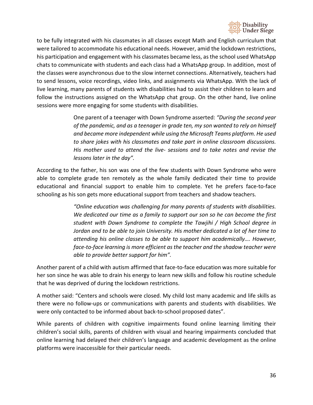

to be fully integrated with his classmates in all classes except Math and English curriculum that were tailored to accommodate his educational needs. However, amid the lockdown restrictions, his participation and engagement with his classmates became less, as the school used WhatsApp chats to communicate with students and each class had a WhatsApp group. In addition, most of the classes were asynchronous due to the slow internet connections. Alternatively, teachers had to send lessons, voice recordings, video links, and assignments via WhatsApp. With the lack of live learning, many parents of students with disabilities had to assist their children to learn and follow the instructions assigned on the WhatsApp chat group. On the other hand, live online sessions were more engaging for some students with disabilities.

> One parent of a teenager with Down Syndrome asserted: *"During the second year of the pandemic, and as a teenager in grade ten, my son wanted to rely on himself and became more independent while using the Microsoft Teams platform. He used to share jokes with his classmates and take part in online classroom discussions. His mother used to attend the live- sessions and to take notes and revise the lessons later in the day".*

According to the father, his son was one of the few students with Down Syndrome who were able to complete grade ten remotely as the whole family dedicated their time to provide educational and financial support to enable him to complete. Yet he prefers face-to-face schooling as his son gets more educational support from teachers and shadow teachers.

> *"Online education was challenging for many parents of students with disabilities. We dedicated our time as a family to support our son so he can become the first student with Down Syndrome to complete the Tawjihi / High School degree in Jordan and to be able to join University. His mother dedicated a lot of her time to attending his online classes to be able to support him academically…. However, face-to-face learning is more efficient as the teacher and the shadow teacher were able to provide better support for him".*

Another parent of a child with autism affirmed that face-to-face education was more suitable for her son since he was able to drain his energy to learn new skills and follow his routine schedule that he was deprived of during the lockdown restrictions.

A mother said: "Centers and schools were closed. My child lost many academic and life skills as there were no follow-ups or communications with parents and students with disabilities. We were only contacted to be informed about back-to-school proposed dates".

While parents of children with cognitive impairments found online learning limiting their children's social skills, parents of children with visual and hearing impairments concluded that online learning had delayed their children's language and academic development as the online platforms were inaccessible for their particular needs.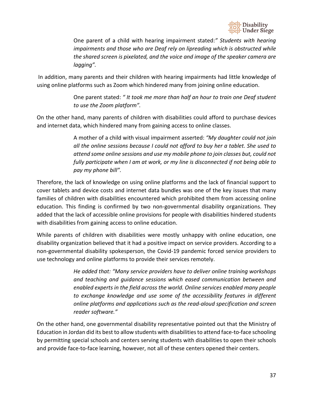

One parent of a child with hearing impairment stated:*" Students with hearing impairments and those who are Deaf rely on lipreading which is obstructed while the shared screen is pixelated, and the voice and image of the speaker camera are lagging".* 

In addition, many parents and their children with hearing impairments had little knowledge of using online platforms such as Zoom which hindered many from joining online education.

> One parent stated: *" It took me more than half an hour to train one Deaf student to use the Zoom platform".*

On the other hand, many parents of children with disabilities could afford to purchase devices and internet data, which hindered many from gaining access to online classes.

> A mother of a child with visual impairment asserted: *"My daughter could not join all the online sessions because I could not afford to buy her a tablet. She used to attend some online sessions and use my mobile phone to join classes but, could not fully participate when I am at work, or my line is disconnected if not being able to pay my phone bill".*

Therefore, the lack of knowledge on using online platforms and the lack of financial support to cover tablets and device costs and internet data bundles was one of the key issues that many families of children with disabilities encountered which prohibited them from accessing online education. This finding is confirmed by two non-governmental disability organizations. They added that the lack of accessible online provisions for people with disabilities hindered students with disabilities from gaining access to online education.

While parents of children with disabilities were mostly unhappy with online education, one disability organization believed that it had a positive impact on service providers. According to a non-governmental disability spokesperson, the Covid-19 pandemic forced service providers to use technology and online platforms to provide their services remotely.

> *He added that: "Many service providers have to deliver online training workshops and teaching and guidance sessions which eased communication between and enabled experts in the field across the world. Online services enabled many people to exchange knowledge and use some of the accessibility features in different online platforms and applications such as the read-aloud specification and screen reader software."*

On the other hand, one governmental disability representative pointed out that the Ministry of Education in Jordan did its best to allow students with disabilities to attend face-to-face schooling by permitting special schools and centers serving students with disabilities to open their schools and provide face-to-face learning, however, not all of these centers opened their centers.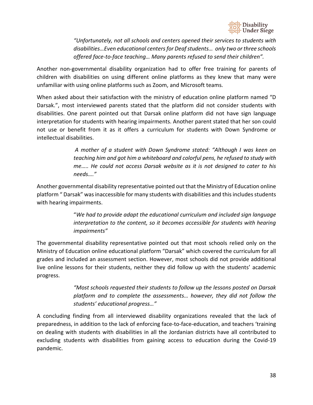

*"Unfortunately, not all schools and centers opened their services to students with disabilities…Even educational centers for Deaf students… only two or three schools offered face-to-face teaching… Many parents refused to send their children".* 

Another non-governmental disability organization had to offer free training for parents of children with disabilities on using different online platforms as they knew that many were unfamiliar with using online platforms such as Zoom, and Microsoft teams.

When asked about their satisfaction with the ministry of education online platform named "D Darsak.", most interviewed parents stated that the platform did not consider students with disabilities. One parent pointed out that Darsak online platform did not have sign language interpretation for students with hearing impairments. Another parent stated that her son could not use or benefit from it as it offers a curriculum for students with Down Syndrome or intellectual disabilities.

> *A mother of a student with Down Syndrome stated: "Although I was keen on teaching him and got him a whiteboard and colorful pens, he refused to study with me….. He could not access Darsak website as it is not designed to cater to his needs…."*

Another governmental disability representative pointed out that the Ministry of Education online platform " Darsak" was inaccessible for many students with disabilities and this includes students with hearing impairments.

> "*We had to provide adapt the educational curriculum and included sign language interpretation to the content, so it becomes accessible for students with hearing impairments"*

The governmental disability representative pointed out that most schools relied only on the Ministry of Education online educational platform "Darsak" which covered the curriculum for all grades and included an assessment section. However, most schools did not provide additional live online lessons for their students, neither they did follow up with the students' academic progress.

> *"Most schools requested their students to follow up the lessons posted on Darsak platform and to complete the assessments… however, they did not follow the students' educational progress…"*

A concluding finding from all interviewed disability organizations revealed that the lack of preparedness, in addition to the lack of enforcing face-to-face-education, and teachers 'training on dealing with students with disabilities in all the Jordanian districts have all contributed to excluding students with disabilities from gaining access to education during the Covid-19 pandemic.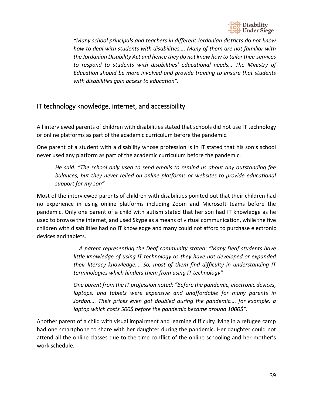

*"Many school principals and teachers in different Jordanian districts do not know how to deal with students with disabilities…. Many of them are not familiar with the Jordanian Disability Act and hence they do not know how to tailor their services to respond to students with disabilities' educational needs… The Ministry of Education should be more involved and provide training to ensure that students with disabilities gain access to education".* 

# <span id="page-38-0"></span>IT technology knowledge, internet, and accessibility

All interviewed parents of children with disabilities stated that schools did not use IT technology or online platforms as part of the academic curriculum before the pandemic.

One parent of a student with a disability whose profession is in IT stated that his son's school never used any platform as part of the academic curriculum before the pandemic.

*He said: "The school only used to send emails to remind us about any outstanding fee*  balances, but they never relied on online platforms or websites to provide educational *support for my son".*

Most of the interviewed parents of children with disabilities pointed out that their children had no experience in using online platforms including Zoom and Microsoft teams before the pandemic. Only one parent of a child with autism stated that her son had IT knowledge as he used to browse the internet, and used Skype as a means of virtual communication, while the five children with disabilities had no IT knowledge and many could not afford to purchase electronic devices and tablets.

> *A parent representing the Deaf community stated: "Many Deaf students have little knowledge of using IT technology as they have not developed or expanded their literacy knowledge…. So, most of them find difficulty in understanding IT terminologies which hinders them from using IT technology"*

> *One parent from the IT profession noted: "Before the pandemic, electronic devices, laptops, and tablets were expensive and unaffordable for many parents in Jordan…. Their prices even got doubled during the pandemic…. for example, a laptop which costs 500\$ before the pandemic became around 1000\$".*

Another parent of a child with visual impairment and learning difficulty living in a refugee camp had one smartphone to share with her daughter during the pandemic. Her daughter could not attend all the online classes due to the time conflict of the online schooling and her mother's work schedule.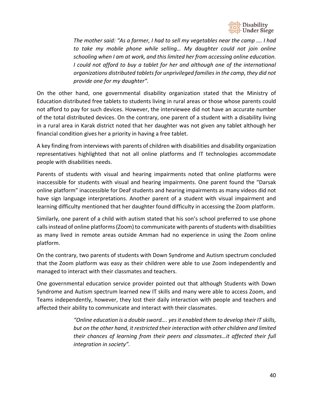

*The mother said: "As a farmer, I had to sell my vegetables near the camp …. I had to take my mobile phone while selling… My daughter could not join online schooling when I am at work, and this limited her from accessing online education. I could not afford to buy a tablet for her and although one of the international organizations distributed tablets for unprivileged families in the camp, they did not provide one for my daughter".*

On the other hand, one governmental disability organization stated that the Ministry of Education distributed free tablets to students living in rural areas or those whose parents could not afford to pay for such devices. However, the interviewee did not have an accurate number of the total distributed devices. On the contrary, one parent of a student with a disability living in a rural area in Karak district noted that her daughter was not given any tablet although her financial condition gives her a priority in having a free tablet.

A key finding from interviews with parents of children with disabilities and disability organization representatives highlighted that not all online platforms and IT technologies accommodate people with disabilities needs.

Parents of students with visual and hearing impairments noted that online platforms were inaccessible for students with visual and hearing impairments. One parent found the "Darsak online platform" inaccessible for Deaf students and hearing impairments as many videos did not have sign language interpretations. Another parent of a student with visual impairment and learning difficulty mentioned that her daughter found difficulty in accessing the Zoom platform.

Similarly, one parent of a child with autism stated that his son's school preferred to use phone calls instead of online platforms (Zoom) to communicate with parents of students with disabilities as many lived in remote areas outside Amman had no experience in using the Zoom online platform.

On the contrary, two parents of students with Down Syndrome and Autism spectrum concluded that the Zoom platform was easy as their children were able to use Zoom independently and managed to interact with their classmates and teachers.

One governmental education service provider pointed out that although Students with Down Syndrome and Autism spectrum learned new IT skills and many were able to access Zoom, and Teams independently, however, they lost their daily interaction with people and teachers and affected their ability to communicate and interact with their classmates.

> *"Online education is a double sword…. yes it enabled them to develop their IT skills, but on the other hand, it restricted their interaction with other children and limited their chances of learning from their peers and classmates…it affected their full integration in society".*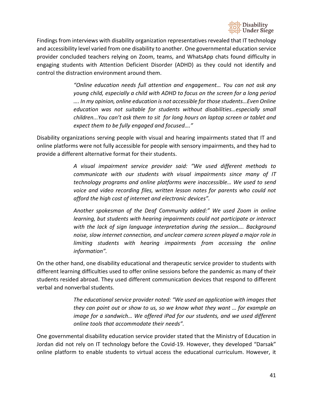

Findings from interviews with disability organization representatives revealed that IT technology and accessibility level varied from one disability to another. One governmental education service provider concluded teachers relying on Zoom, teams, and WhatsApp chats found difficulty in engaging students with Attention Deficient Disorder (ADHD) as they could not identify and control the distraction environment around them.

> *"Online education needs full attention and engagement… You can not ask any young child, especially a child with ADHD to focus on the screen for a long period …. In my opinion, online education is not accessible for those students…Even Online education was not suitable for students without disabilities…especially small children...You can't ask them to sit for long hours on laptop screen or tablet and expect them to be fully engaged and focused…."*

Disability organizations serving people with visual and hearing impairments stated that IT and online platforms were not fully accessible for people with sensory impairments, and they had to provide a different alternative format for their students.

> *A visual impairment service provider said: "We used different methods to communicate with our students with visual impairments since many of IT technology programs and online platforms were inaccessible… We used to send voice and video recording files, written lesson notes for parents who could not afford the high cost of internet and electronic devices".*

> *Another spokesman of the Deaf Community added:" We used Zoom in online learning, but students with hearing impairments could not participate or interact with the lack of sign language interpretation during the session…. Background noise, slow internet connection, and unclear camera screen played a major role in limiting students with hearing impairments from accessing the online information".*

On the other hand, one disability educational and therapeutic service provider to students with different learning difficulties used to offer online sessions before the pandemic as many of their students resided abroad. They used different communication devices that respond to different verbal and nonverbal students.

> *The educational service provider noted: "We used an application with images that they can point out or show to us, so we know what they want … for example an image for a sandwich… We offered iPad for our students, and we used different online tools that accommodate their needs".*

One governmental disability education service provider stated that the Ministry of Education in Jordan did not rely on IT technology before the Covid-19. However, they developed "Darsak" online platform to enable students to virtual access the educational curriculum. However, it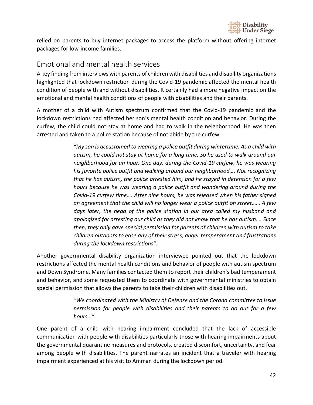

relied on parents to buy internet packages to access the platform without offering internet packages for low-income families.

# <span id="page-41-0"></span>Emotional and mental health services

A key finding from interviews with parents of children with disabilities and disability organizations highlighted that lockdown restriction during the Covid-19 pandemic affected the mental health condition of people with and without disabilities. It certainly had a more negative impact on the emotional and mental health conditions of people with disabilities and their parents.

A mother of a child with Autism spectrum confirmed that the Covid-19 pandemic and the lockdown restrictions had affected her son's mental health condition and behavior. During the curfew, the child could not stay at home and had to walk in the neighborhood. He was then arrested and taken to a police station because of not abide by the curfew.

> *"My son is accustomed to wearing a police outfit during wintertime. As a child with autism, he could not stay at home for a long time. So he used to walk around our neighborhood for an hour. One day, during the Covid-19 curfew, he was wearing his favorite police outfit and walking around our neighborhood…. Not recognizing that he has autism, the police arrested him, and he stayed in detention for a few hours because he was wearing a police outfit and wandering around during the Covid-19 curfew time…. After nine hours, he was released when his father signed an agreement that the child will no longer wear a police outfit on street…… A few days later, the head of the police station in our area called my husband and apologized for arresting our child as they did not know that he has autism…. Since then, they only gave special permission for parents of children with autism to take children outdoors to ease any of their stress, anger temperament and frustrations during the lockdown restrictions".*

Another governmental disability organization interviewee pointed out that the lockdown restrictions affected the mental health conditions and behavior of people with autism spectrum and Down Syndrome. Many families contacted them to report their children's bad temperament and behavior, and some requested them to coordinate with governmental ministries to obtain special permission that allows the parents to take their children with disabilities out.

> *"We coordinated with the Ministry of Defense and the Corona committee to issue permission for people with disabilities and their parents to go out for a few hours…"*

One parent of a child with hearing impairment concluded that the lack of accessible communication with people with disabilities particularly those with hearing impairments about the governmental quarantine measures and protocols, created discomfort, uncertainty, and fear among people with disabilities. The parent narrates an incident that a traveler with hearing impairment experienced at his visit to Amman during the lockdown period.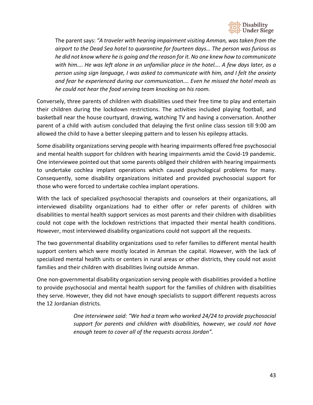

The parent says: *"A traveler with hearing impairment visiting Amman, was taken from the airport to the Dead Sea hotel to quarantine for fourteen days… The person was furious as he did not know where he is going and the reason for it. No one knew how to communicate*  with him.... He was left alone in an unfamiliar place in the hotel.... A few days later, as a *person using sign language, I was asked to communicate with him, and I felt the anxiety and fear he experienced during our communication…. Even he missed the hotel meals as he could not hear the food serving team knocking on his room.*

Conversely, three parents of children with disabilities used their free time to play and entertain their children during the lockdown restrictions. The activities included playing football, and basketball near the house courtyard, drawing, watching TV and having a conversation. Another parent of a child with autism concluded that delaying the first online class session till 9:00 am allowed the child to have a better sleeping pattern and to lessen his epilepsy attacks.

Some disability organizations serving people with hearing impairments offered free psychosocial and mental health support for children with hearing impairments amid the Covid-19 pandemic. One interviewee pointed out that some parents obliged their children with hearing impairments to undertake cochlea implant operations which caused psychological problems for many. Consequently, some disability organizations initiated and provided psychosocial support for those who were forced to undertake cochlea implant operations.

With the lack of specialized psychosocial therapists and counselors at their organizations, all interviewed disability organizations had to either offer or refer parents of children with disabilities to mental health support services as most parents and their children with disabilities could not cope with the lockdown restrictions that impacted their mental health conditions. However, most interviewed disability organizations could not support all the requests.

The two governmental disability organizations used to refer families to different mental health support centers which were mostly located in Amman the capital. However, with the lack of specialized mental health units or centers in rural areas or other districts, they could not assist families and their children with disabilities living outside Amman.

One non-governmental disability organization serving people with disabilities provided a hotline to provide psychosocial and mental health support for the families of children with disabilities they serve. However, they did not have enough specialists to support different requests across the 12 Jordanian districts.

> *One interviewee said: "We had a team who worked 24/24 to provide psychosocial support for parents and children with disabilities, however, we could not have enough team to cover all of the requests across Jordan".*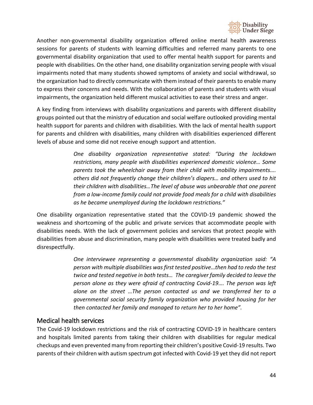

Another non-governmental disability organization offered online mental health awareness sessions for parents of students with learning difficulties and referred many parents to one governmental disability organization that used to offer mental health support for parents and people with disabilities. On the other hand, one disability organization serving people with visual impairments noted that many students showed symptoms of anxiety and social withdrawal, so the organization had to directly communicate with them instead of their parents to enable many to express their concerns and needs. With the collaboration of parents and students with visual impairments, the organization held different musical activities to ease their stress and anger.

A key finding from interviews with disability organizations and parents with different disability groups pointed out that the ministry of education and social welfare outlooked providing mental health support for parents and children with disabilities. With the lack of mental health support for parents and children with disabilities, many children with disabilities experienced different levels of abuse and some did not receive enough support and attention.

> *One disability organization representative stated: "During the lockdown restrictions, many people with disabilities experienced domestic violence… Some parents took the wheelchair away from their child with mobility impairments…. others did not frequently change their children's diapers… and others used to hit their children with disabilities…The level of abuse was unbearable that one parent from a low-income family could not provide food meals for a child with disabilities as he became unemployed during the lockdown restrictions."*

One disability organization representative stated that the COVID-19 pandemic showed the weakness and shortcoming of the public and private services that accommodate people with disabilities needs. With the lack of government policies and services that protect people with disabilities from abuse and discrimination, many people with disabilities were treated badly and disrespectfully.

> *One interviewee representing a governmental disability organization said: "A person with multiple disabilities was first tested positive…then had to redo the test twice and tested negative in both tests… The caregiver family decided to leave the person alone as they were afraid of contracting Covid-19…. The person was left alone on the street …The person contacted us and we transferred her to a governmental social security family organization who provided housing for her then contacted her family and managed to return her to her home".*

### <span id="page-43-0"></span>Medical health services

The Covid-19 lockdown restrictions and the risk of contracting COVID-19 in healthcare centers and hospitals limited parents from taking their children with disabilities for regular medical checkups and even prevented many from reporting their children's positive Covid-19 results. Two parents of their children with autism spectrum got infected with Covid-19 yet they did not report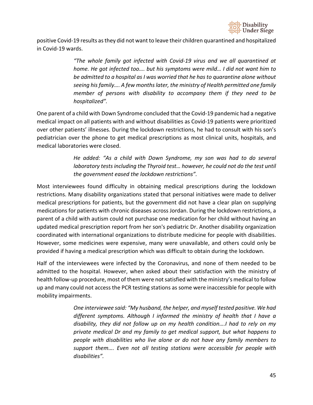

positive Covid-19 results as they did not want to leave their children quarantined and hospitalized in Covid-19 wards.

> *"The whole family got infected with Covid-19 virus and we all quarantined at home. He got infected too…. but his symptoms were mild… I did not want him to be admitted to a hospital as I was worried that he has to quarantine alone without seeing his family…. A few months later, the ministry of Health permitted one family member of persons with disability to accompany them if they need to be hospitalized".*

One parent of a child with Down Syndrome concluded that the Covid-19 pandemic had a negative medical impact on all patients with and without disabilities as Covid-19 patients were prioritized over other patients' illnesses. During the lockdown restrictions, he had to consult with his son's pediatrician over the phone to get medical prescriptions as most clinical units, hospitals, and medical laboratories were closed.

> *He added: "As a child with Down Syndrome, my son was had to do several laboratory tests including the Thyroid test… however, he could not do the test until the government eased the lockdown restrictions".*

Most interviewees found difficulty in obtaining medical prescriptions during the lockdown restrictions. Many disability organizations stated that personal initiatives were made to deliver medical prescriptions for patients, but the government did not have a clear plan on supplying medications for patients with chronic diseases across Jordan. During the lockdown restrictions, a parent of a child with autism could not purchase one medication for her child without having an updated medical prescription report from her son's pediatric Dr. Another disability organization coordinated with international organizations to distribute medicine for people with disabilities. However, some medicines were expensive, many were unavailable, and others could only be provided if having a medical prescription which was difficult to obtain during the lockdown.

Half of the interviewees were infected by the Coronavirus, and none of them needed to be admitted to the hospital. However, when asked about their satisfaction with the ministry of health follow-up procedure, most of them were not satisfied with the ministry's medical to follow up and many could not access the PCR testing stations as some were inaccessible for people with mobility impairments.

> *One interviewee said: "My husband, the helper, and myself tested positive. We had different symptoms. Although I informed the ministry of health that I have a disability, they did not follow up on my health condition….I had to rely on my private medical Dr and my family to get medical support, but what happens to people with disabilities who live alone or do not have any family members to support them…. Even not all testing stations were accessible for people with disabilities".*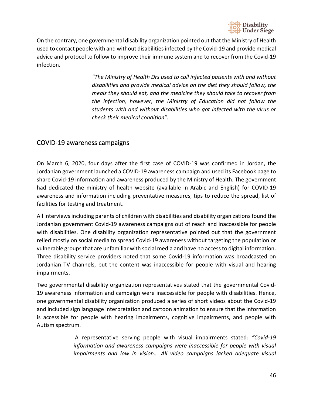

On the contrary, one governmental disability organization pointed out that the Ministry of Health used to contact people with and without disabilities infected by the Covid-19 and provide medical advice and protocol to follow to improve their immune system and to recover from the Covid-19 infection.

> *"The Ministry of Health Drs used to call infected patients with and without disabilities and provide medical advice on the diet they should follow, the meals they should eat, and the medicine they should take to recover from the infection, however, the Ministry of Education did not follow the students with and without disabilities who got infected with the virus or check their medical condition".*

### <span id="page-45-0"></span>COVID-19 awareness campaigns

On March 6, 2020, four days after the first case of COVID-19 was confirmed in Jordan, the Jordanian government launched a COVID-19 awareness campaign and used its Facebook page to share Covid-19 information and awareness produced by the Ministry of Health. The government had dedicated the ministry of health website (available in Arabic and English) for COVID-19 awareness and information including preventative measures, tips to reduce the spread, list of facilities for testing and treatment.

All interviews including parents of children with disabilities and disability organizations found the Jordanian government Covid-19 awareness campaigns out of reach and inaccessible for people with disabilities. One disability organization representative pointed out that the government relied mostly on social media to spread Covid-19 awareness without targeting the population or vulnerable groups that are unfamiliar with social media and have no access to digital information. Three disability service providers noted that some Covid-19 information was broadcasted on Jordanian TV channels, but the content was inaccessible for people with visual and hearing impairments.

Two governmental disability organization representatives stated that the governmental Covid-19 awareness information and campaign were inaccessible for people with disabilities. Hence, one governmental disability organization produced a series of short videos about the Covid-19 and included sign language interpretation and cartoon animation to ensure that the information is accessible for people with hearing impairments, cognitive impairments, and people with Autism spectrum.

> A representative serving people with visual impairments stated*: "Covid-19 information and awareness campaigns were inaccessible for people with visual impairments and low in vision… All video campaigns lacked adequate visual*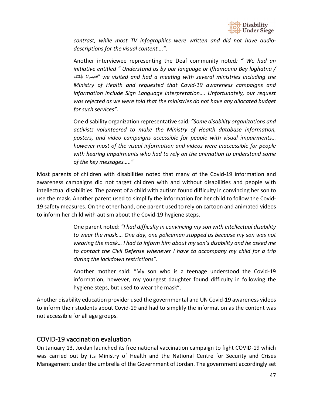

*contrast, while most TV infographics were written and did not have audiodescriptions for the visual content….".* 

Another interviewee representing the Deaf community noted*: " We had an initiative entitled " Understand us by our language or Ifhamouna Bey loghatna /*  بلغتنا افھمونا *"we visited and had a meeting with several ministries including the Ministry of Health and requested that Covid-19 awareness campaigns and information include Sign Language interpretation…. Unfortunately, our request was rejected as we were told that the ministries do not have any allocated budget for such services".*

One disability organization representative said*: "Some disability organizations and activists volunteered to make the Ministry of Health database information, posters, and video campaigns accessible for people with visual impairments… however most of the visual information and videos were inaccessible for people with hearing impairments who had to rely on the animation to understand some of the key messages….."* 

Most parents of children with disabilities noted that many of the Covid-19 information and awareness campaigns did not target children with and without disabilities and people with intellectual disabilities. The parent of a child with autism found difficulty in convincing her son to use the mask. Another parent used to simplify the information for her child to follow the Covid-19 safety measures. On the other hand, one parent used to rely on cartoon and animated videos to inform her child with autism about the Covid-19 hygiene steps.

> One parent noted: *"I had difficulty in convincing my son with intellectual disability to wear the mask…. One day, one policeman stopped us because my son was not wearing the mask… I had to inform him about my son's disability and he asked me to contact the Civil Defense whenever I have to accompany my child for a trip during the lockdown restrictions".*

> Another mother said: "My son who is a teenage understood the Covid-19 information, however, my youngest daughter found difficulty in following the hygiene steps, but used to wear the mask".

Another disability education provider used the governmental and UN Covid-19 awareness videos to inform their students about Covid-19 and had to simplify the information as the content was not accessible for all age groups.

### <span id="page-46-0"></span>COVID-19 vaccination evaluation

On January 13, Jordan launched its free national vaccination campaign to fight COVID-19 which was carried out by its Ministry of Health and the National Centre for Security and Crises Management under the umbrella of the Government of Jordan. The government accordingly set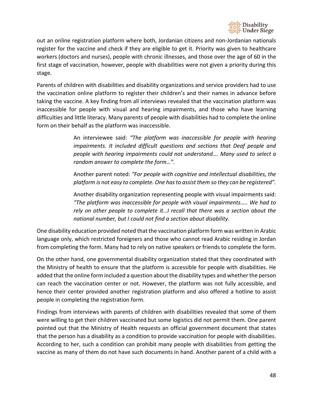

out an online registration platform where both, Jordanian citizens and non-Jordanian nationals register for the vaccine and check if they are eligible to get it. Priority was given to healthcare workers (doctors and nurses), people with chronic illnesses, and those over the age of 60 in the first stage of vaccination, however, people with disabilities were not given a priority during this stage.

Parents of children with disabilities and disability organizations and service providers had to use the vaccination online platform to register their children's and their names in advance before taking the vaccine. A key finding from all interviews revealed that the vaccination platform was inaccessible for people with visual and hearing impairments, and those who have learning difficulties and little literacy. Many parents of people with disabilities had to complete the online form on their behalf as the platform was inaccessible.

> An interviewee said: *"The platform was inaccessible for people with hearing impairments. It included difficult questions and sections that Deaf people and people with hearing impairments could not understand…. Many used to select a random answer to complete the form…".*

> Another parent noted: *"For people with cognitive and intellectual disabilities, the platform is not easy to complete. One has to assist them so they can be registered".*

> Another disability organization representing people with visual impairments said: *"The platform was inaccessible for people with visual impairments….. We had to rely on other people to complete it…I recall that there was a section about the national number, but I could not find a section about disability.*

One disability education provided noted that the vaccination platform form was written in Arabic language only, which restricted foreigners and those who cannot read Arabic residing in Jordan from completing the form. Many had to rely on native speakers or friends to complete the form.

On the other hand, one governmental disability organization stated that they coordinated with the Ministry of health to ensure that the platform is accessible for people with disabilities. He added that the online form included a question about the disability types and whether the person can reach the vaccination center or not. However, the platform was not fully accessible, and hence their center provided another registration platform and also offered a hotline to assist people in completing the registration form.

Findings from interviews with parents of children with disabilities revealed that some of them were willing to get their children vaccinated but some logistics did not permit them. One parent pointed out that the Ministry of Health requests an official government document that states that the person has a disability as a condition to provide vaccination for people with disabilities. According to her, such a condition can prohibit many people with disabilities from getting the vaccine as many of them do not have such documents in hand. Another parent of a child with a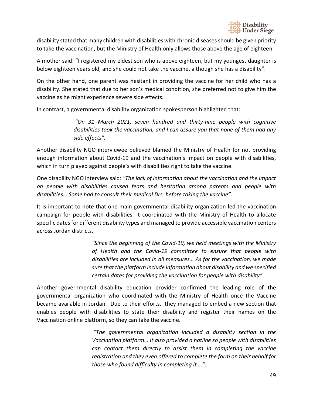

disability stated that many children with disabilities with chronic diseases should be given priority to take the vaccination, but the Ministry of Health only allows those above the age of eighteen.

A mother said: "I registered my eldest son who is above eighteen, but my youngest daughter is below eighteen years old, and she could not take the vaccine, although she has a disability".

On the other hand, one parent was hesitant in providing the vaccine for her child who has a disability. She stated that due to her son's medical condition, she preferred not to give him the vaccine as he might experience severe side effects.

In contrast, a governmental disability organization spokesperson highlighted that:

*"On 31 March 2021, seven hundred and thirty-nine people with cognitive disabilities took the vaccination, and I can assure you that none of them had any side effects".* 

Another disability NGO interviewee believed blamed the Ministry of Health for not providing enough information about Covid-19 and the vaccination's impact on people with disabilities, which in turn played against people's with disabilities right to take the vaccine.

One disability NGO interview said: *"The lack of information about the vaccination and the impact on people with disabilities caused fears and hesitation among parents and people with disabilities… Some had to consult their medical Drs. before taking the vaccine".* 

It is important to note that one main governmental disability organization led the vaccination campaign for people with disabilities. It coordinated with the Ministry of Health to allocate specific dates for different disability types and managed to provide accessible vaccination centers across Jordan districts.

> *"Since the beginning of the Covid-19, we held meetings with the Ministry of Health and the Covid-19 committee to ensure that people with disabilities are included in all measures… As for the vaccination, we made sure that the platform include information about disability and we specified certain dates for providing the vaccination for people with disability".*

Another governmental disability education provider confirmed the leading role of the governmental organization who coordinated with the Ministry of Health once the Vaccine became available in Jordan. Due to their efforts, they managed to embed a new section that enables people with disabilities to state their disability and register their names on the Vaccination online platform, so they can take the vaccine.

> *"The governmental organization included a disability section in the Vaccination platform… It also provided a hotline so people with disabilities can contact them directly to assist them in completing the vaccine registration and they even offered to complete the form on their behalf for those who found difficulty in completing it….".*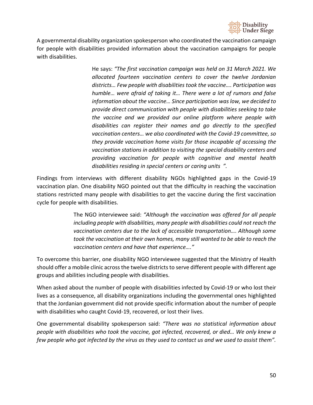

A governmental disability organization spokesperson who coordinated the vaccination campaign for people with disabilities provided information about the vaccination campaigns for people with disabilities.

> He says: *"The first vaccination campaign was held on 31 March 2021. We allocated fourteen vaccination centers to cover the twelve Jordanian districts… Few people with disabilities took the vaccine…. Participation was humble… were afraid of taking it… There were a lot of rumors and false information about the vaccine… Since participation was low, we decided to provide direct communication with people with disabilities seeking to take the vaccine and we provided our online platform where people with disabilities can register their names and go directly to the specified vaccination centers… we also coordinated with the Covid-19 committee, so they provide vaccination home visits for those incapable of accessing the vaccination stations in addition to visiting the special disability centers and providing vaccination for people with cognitive and mental health disabilities residing in special centers or caring units ".*

Findings from interviews with different disability NGOs highlighted gaps in the Covid-19 vaccination plan. One disability NGO pointed out that the difficulty in reaching the vaccination stations restricted many people with disabilities to get the vaccine during the first vaccination cycle for people with disabilities.

> The NGO interviewee said: *"Although the vaccination was offered for all people including people with disabilities, many people with disabilities could not reach the vaccination centers due to the lack of accessible transportation…. Although some took the vaccination at their own homes, many still wanted to be able to reach the vaccination centers and have that experience…."*

To overcome this barrier, one disability NGO interviewee suggested that the Ministry of Health should offer a mobile clinic across the twelve districts to serve different people with different age groups and abilities including people with disabilities.

When asked about the number of people with disabilities infected by Covid-19 or who lost their lives as a consequence, all disability organizations including the governmental ones highlighted that the Jordanian government did not provide specific information about the number of people with disabilities who caught Covid-19, recovered, or lost their lives.

One governmental disability spokesperson said: *"There was no statistical information about people with disabilities who took the vaccine, got infected, recovered, or died… We only knew a few people who got infected by the virus as they used to contact us and we used to assist them".*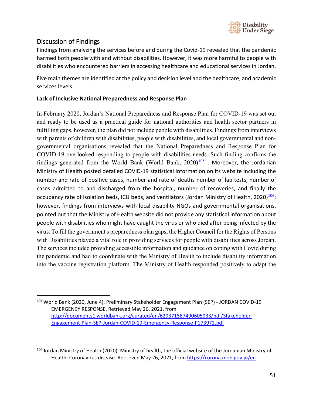

# <span id="page-50-0"></span>Discussion of Findings

Findings from analyzing the services before and during the Covid-19 revealed that the pandemic harmed both people with and without disabilities. However, it was more harmful to people with disabilities who encountered barriers in accessing healthcare and educational services in Jordan.

Five main themes are identified at the policy and decision level and the healthcare, and academic services levels.

### **Lack of Inclusive National Preparedness and Response Plan**

In February 2020, Jordan's National Preparedness and Response Plan for COVID-19 was set out and ready to be used as a practical guide for national authorities and health sector partners in fulfilling gaps, however, the plan did not include people with disabilities. Findings from interviews with parents of children with disabilities, people with disabilities, and local governmental and nongovernmental organisations revealed that the National Preparedness and Response Plan for COVID-19 overlooked responding to people with disabilities needs. Such finding confirms the findings generated from the World Bank (World Bank,  $2020$ [\)](http://documents1.worldbank.org/curated/en/629371587490605933/pdf/Stakeholder-Engagement-Plan-SEP-Jordan-COVID-19-Emergency-Response-P173972.pdf) $\frac{105}{100}$  $\frac{105}{100}$  $\frac{105}{100}$ . Moreover, the Jordanian Ministry of Health posted detailed COVID-19 statistical information on its website including the number and rate of positive cases, number and rate of deaths number of lab tests, number of cases admitted to and discharged from the hospital, number of recoveries, and finally the occupancy rate of isolation beds, ICU beds, and ventilators (Jordan Ministry of Health, 2020) $\frac{106}{1}$ ; however, findings from interviews with local disability NGOs and governmental organisations, pointed out that the Ministry of Health website did not provide any statistical information about people with disabilities who might have caught the virus or who died after being infected by the virus. To fill the government's preparedness plan gaps, the Higher Council for the Rights of Persons with Disabilities played a vital role in providing services for people with disabilities across Jordan. The services included providing accessible information and guidance on coping with Covid during the pandemic and had to coordinate with the Ministry of Health to include disability information into the vaccine registration platform. The Ministry of Health responded positively to adapt the

<span id="page-50-1"></span><sup>105</sup> World Bank (2020, June 4). Preliminary Stakeholder Engagement Plan (SEP) - JORDAN COVID-19 EMERGENCY RESPONSE. Retrieved May 26, 2021, from [http://documents1.worldbank.org/curated/en/629371587490605933/pdf/Stakeholder-](http://documents1.worldbank.org/curated/en/629371587490605933/pdf/Stakeholder-Engagement-Plan-SEP-Jordan-COVID-19-Emergency-Response-P173972.pdf)[Engagement-Plan-SEP-Jordan-COVID-19-Emergency-Response-P173972.pdf](http://documents1.worldbank.org/curated/en/629371587490605933/pdf/Stakeholder-Engagement-Plan-SEP-Jordan-COVID-19-Emergency-Response-P173972.pdf)

<span id="page-50-2"></span><sup>&</sup>lt;sup>106</sup> Jordan Ministry of Health (2020). Ministry of health, the official website of the Jordanian Ministry of Health: Coronavirus disease. Retrieved May 26, 2021, from<https://corona.moh.gov.jo/en>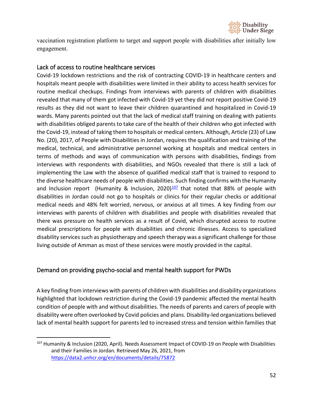

vaccination registration platform to target and support people with disabilities after initially low engagement.

### <span id="page-51-0"></span>Lack of access to routine healthcare services

Covid-19 lockdown restrictions and the risk of contracting COVID-19 in healthcare centers and hospitals meant people with disabilities were limited in their ability to access health services for routine medical checkups. Findings from interviews with parents of children with disabilities revealed that many of them got infected with Covid-19 yet they did not report positive Covid-19 results as they did not want to leave their children quarantined and hospitalized in Covid-19 wards. Many parents pointed out that the lack of medical staff training on dealing with patients with disabilities obliged parents to take care of the health of their children who got infected with the Covid-19, instead of taking them to hospitals or medical centers. Although, Article (23) of Law No. (20), 2017, of People with Disabilities in Jordan, requires the qualification and training of the medical, technical, and administrative personnel working at hospitals and medical centers in terms of methods and ways of communication with persons with disabilities, findings from interviews with respondents with disabilities, and NGOs revealed that there is still a lack of implementing the Law with the absence of qualified medical staff that is trained to respond to the diverse healthcare needs of people with disabilities. Such finding confirms with the Humanity and Inclusion report (Humanity & Inclusion, 2020) $\frac{107}{102}$  that noted that 88% of people with disabilities in Jordan could not go to hospitals or clinics for their regular checks or additional medical needs and 48% felt worried, nervous, or anxious at all times. A key finding from our interviews with parents of children with disabilities and people with disabilities revealed that there was pressure on health services as a result of Covid, which disrupted access to routine medical prescriptions for people with disabilities and chronic illnesses. Access to specialized disability services such as physiotherapy and speech therapy was a significant challenge for those living outside of Amman as most of these services were mostly provided in the capital.

### <span id="page-51-1"></span>Demand on providing psycho-social and mental health support for PWDs

A key finding from interviews with parents of children with disabilities and disability organizations highlighted that lockdown restriction during the Covid-19 pandemic affected the mental health condition of people with and without disabilities. The needs of parents and carers of people with disability were often overlooked by Covid policies and plans. Disability-led organizations believed lack of mental health support for parents led to increased stress and tension within families that

<span id="page-51-2"></span><sup>107</sup> Humanity & Inclusion (2020, April). Needs Assessment Impact of COVID-19 on People with Disabilities and their Families in Jordan. Retrieved May 26, 2021, from <https://data2.unhcr.org/en/documents/details/75872>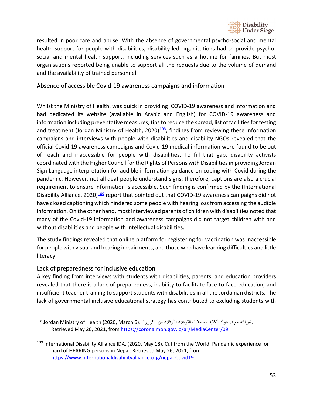

resulted in poor care and abuse. With the absence of governmental psycho-social and mental health support for people with disabilities, disability-led organisations had to provide psychosocial and mental health support, including services such as a hotline for families. But most organisations reported being unable to support all the requests due to the volume of demand and the availability of trained personnel.

### <span id="page-52-0"></span>Absence of accessible Covid-19 awareness campaigns and information

Whilst the Ministry of Health, was quick in providing COVID-19 awareness and information and had dedicated its website (available in Arabic and English) for COVID-19 awareness and information including preventative measures, tips to reduce the spread, list of facilities for testing and treatment (Jordan Ministry of Health, 2020) $\frac{108}{10}$ , findings from reviewing these information campaigns and interviews with people with disabilities and disability NGOs revealed that the official Covid-19 awareness campaigns and Covid-19 medical information were found to be out of reach and inaccessible for people with disabilities. To fill that gap, disability activists coordinated with the Higher Council for the Rights of Persons with Disabilities in providing Jordan Sign Language interpretation for audible information guidance on coping with Covid during the pandemic. However, not all deaf people understand signs; therefore, captions are also a crucial requirement to ensure information is accessible. Such finding is confirmed by the (International Disability Alliance, 2020[\)](https://www.internationaldisabilityalliance.org/nepal-Covid19)<sup>[109](https://www.internationaldisabilityalliance.org/nepal-Covid19)</sup> report that pointed out that COVID-19 awareness campaigns did not have closed captioning which hindered some people with hearing loss from accessing the audible information. On the other hand, most interviewed parents of children with disabilities noted that many of the Covid-19 information and awareness campaigns did not target children with and without disabilities and people with intellectual disabilities.

The study findings revealed that online platform for registering for vaccination was inaccessible for people with visual and hearing impairments, and those who have learning difficulties and little literacy.

### <span id="page-52-1"></span>Lack of preparedness for inclusive education

A key finding from interviews with students with disabilities, parents, and education providers revealed that there is a lack of preparedness, inability to facilitate face-to-face education, and insufficient teacher training to support students with disabilities in all the Jordanian districts. The lack of governmental inclusive educational strategy has contributed to excluding students with

<span id="page-52-2"></span><sup>.</sup>شراكة مع فيسبوك لتكثیف حملات التوعیة بالوقایة من الكورونا .(6 Jordan Ministry of Health (2020, March 6 Retrieved May 26, 2021, from<https://corona.moh.gov.jo/ar/MediaCenter/09>

<span id="page-52-3"></span><sup>&</sup>lt;sup>109</sup> International Disability Alliance IDA. (2020, May 18). Cut from the World: Pandemic experience for hard of HEARING persons in Nepal. Retrieved May 26, 2021, from <https://www.internationaldisabilityalliance.org/nepal-Covid19>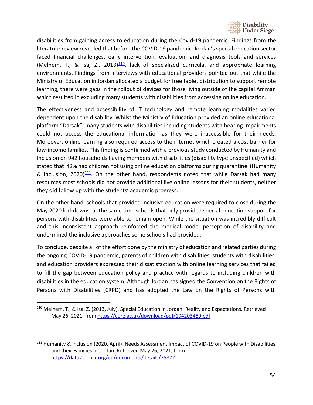

disabilities from gaining access to education during the Covid-19 pandemic. Findings from the literature review revealed that before the COVID-19 pandemic, Jordan's special education sector faced financial challenges, early intervention, evaluation, and diagnosis tools and services (Melhem, T., & Isa, Z., 2013) $\frac{110}{10}$ , lack of specialized curricula, and appropriate learning environments. Findings from interviews with educational providers pointed out that while the Ministry of Education in Jordan allocated a budget for free tablet distribution to support remote learning, there were gaps in the rollout of devices for those living outside of the capital Amman which resulted in excluding many students with disabilities from accessing online education.

The effectiveness and accessibility of IT technology and remote learning modalities varied dependent upon the disability. Whilst the Ministry of Education provided an online educational platform "Darsak", many students with disabilities including students with hearing impairments could not access the educational information as they were inaccessible for their needs. Moreover, online learning also required access to the internet which created a cost barrier for low-income families. This finding is confirmed with a previous study conducted by Humanity and Inclusion on 942 households having members with disabilities (disability type unspecified) which stated that 42% had children not using online education platforms during quarantine (Humanity & Inclusion, 2020) $\frac{111}{2}$ . On the other hand, respondents noted that while Darsak had many resources most schools did not provide additional live online lessons for their students, neither they did follow up with the students' academic progress.

On the other hand, schools that provided inclusive education were required to close during the May 2020 lockdowns, at the same time schools that only provided special education support for persons with disabilities were able to remain open. While the situation was incredibly difficult and this inconsistent approach reinforced the medical model perception of disability and undermined the inclusive approaches some schools had provided.

To conclude, despite all of the effort done by the ministry of education and related parties during the ongoing COVID-19 pandemic, parents of children with disabilities, students with disabilities, and education providers expressed their dissatisfaction with online learning services that failed to fill the gap between education policy and practice with regards to including children with disabilities in the education system. Although Jordan has signed the Convention on the Rights of Persons with Disabilities (CRPD) and has adopted the Law on the Rights of Persons with

<span id="page-53-0"></span><sup>110</sup> Melhem, T., & Isa, Z. (2013, July). Special Education in Jordan: Reality and Expectations. Retrieved May 26, 2021, fro[m https://core.ac.uk/download/pdf/194203489.pdf](https://core.ac.uk/download/pdf/194203489.pdf)

<span id="page-53-1"></span><sup>&</sup>lt;sup>111</sup> Humanity & Inclusion (2020, April). Needs Assessment Impact of COVID-19 on People with Disabilities and their Families in Jordan. Retrieved May 26, 2021, from <https://data2.unhcr.org/en/documents/details/75872>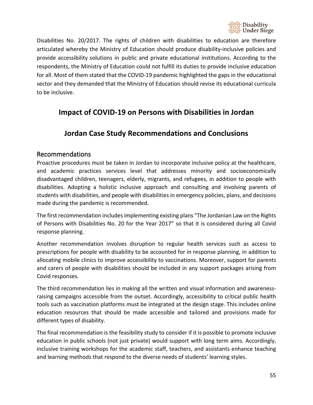

Disabilities No. 20/2017. The rights of children with disabilities to education are therefore articulated whereby the Ministry of Education should produce disability-inclusive policies and provide accessibility solutions in public and private educational institutions. According to the respondents, the Ministry of Education could not fulfill its duties to provide inclusive education for all. Most of them stated that the COVID-19 pandemic highlighted the gaps in the educational sector and they demanded that the Ministry of Education should revise its educational curricula to be inclusive.

# <span id="page-54-0"></span>**Impact of COVID-19 on Persons with Disabilities in Jordan**

# **Jordan Case Study Recommendations and Conclusions**

### <span id="page-54-2"></span><span id="page-54-1"></span>Recommendations

Proactive procedures must be taken in Jordan to incorporate inclusive policy at the healthcare, and academic practices services level that addresses minority and socioeconomically disadvantaged children, teenagers, elderly, migrants, and refugees, in addition to people with disabilities. Adopting a holistic inclusive approach and consulting and involving parents of students with disabilities, and people with disabilities in emergency policies, plans, and decisions made during the pandemic is recommended.

The first recommendation includes implementing existing plans "The Jordanian Law on the Rights of Persons with Disabilities No. 20 for the Year 2017" so that it is considered during all Covid response planning.

Another recommendation involves disruption to regular health services such as access to prescriptions for people with disability to be accounted for in response planning, in addition to allocating mobile clinics to improve accessibility to vaccinations. Moreover, support for parents and carers of people with disabilities should be included in any support packages arising from Covid responses.

The third recommendation lies in making all the written and visual information and awarenessraising campaigns accessible from the outset. Accordingly, accessibility to critical public health tools such as vaccination platforms must be integrated at the design stage. This includes online education resources that should be made accessible and tailored and provisions made for different types of disability.

The final recommendation is the feasibility study to consider if it is possible to promote inclusive education in public schools (not just private) would support with long term aims. Accordingly, inclusive training workshops for the academic staff, teachers, and assistants enhance teaching and learning methods that respond to the diverse needs of students' learning styles.